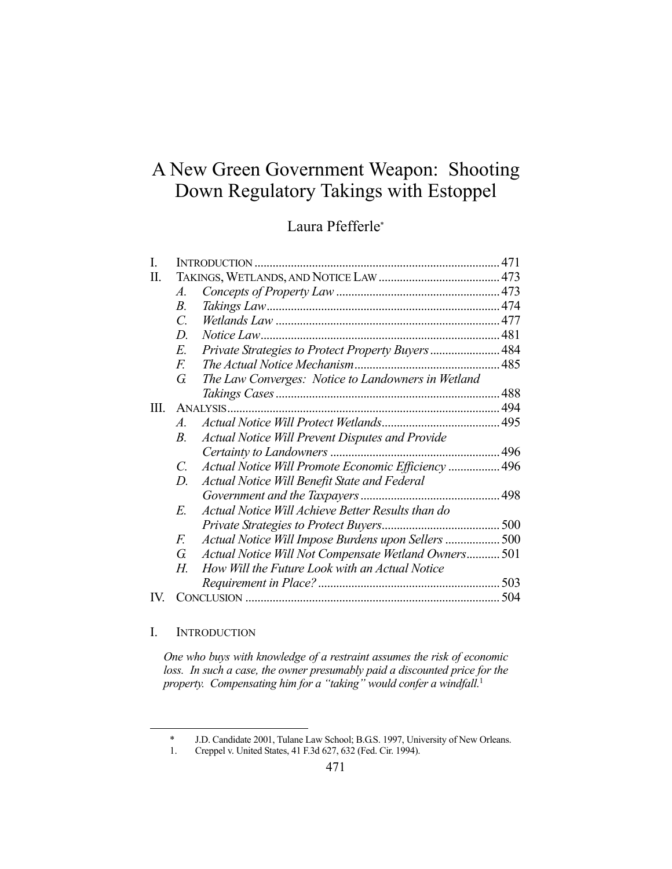# A New Green Government Weapon: Shooting Down Regulatory Takings with Estoppel

# Laura Pfefferle\*

| I.  |                       |                                                     |     |
|-----|-----------------------|-----------------------------------------------------|-----|
| Π.  |                       |                                                     |     |
|     | A.                    |                                                     |     |
|     | $B_{\cdot}$           |                                                     |     |
|     | $\mathcal{C}$         |                                                     |     |
|     | D                     | Notice Law                                          |     |
|     | E.                    | Private Strategies to Protect Property Buyers 484   |     |
|     | F.                    |                                                     |     |
|     | G.                    | The Law Converges: Notice to Landowners in Wetland  |     |
|     |                       |                                                     |     |
| Ш.  | ANALYSIS.             |                                                     |     |
|     | $\mathcal{A}_{\cdot}$ |                                                     |     |
|     | $B_{\cdot}$           | Actual Notice Will Prevent Disputes and Provide     |     |
|     |                       |                                                     |     |
|     | C.                    | Actual Notice Will Promote Economic Efficiency  496 |     |
|     | D.                    | Actual Notice Will Benefit State and Federal        |     |
|     |                       |                                                     |     |
|     | E.                    | Actual Notice Will Achieve Better Results than do   |     |
|     |                       |                                                     |     |
|     | F.                    | Actual Notice Will Impose Burdens upon Sellers  500 |     |
|     | G.                    | Actual Notice Will Not Compensate Wetland Owners501 |     |
|     | Н.                    | How Will the Future Look with an Actual Notice      |     |
|     |                       |                                                     |     |
| IV. |                       |                                                     | 504 |
|     |                       |                                                     |     |

## I. INTRODUCTION

<u>.</u>

*One who buys with knowledge of a restraint assumes the risk of economic*  loss. In such a case, the owner presumably paid a discounted price for the *property. Compensating him for a "taking" would confer a windfall.*<sup>1</sup>

 <sup>\*</sup> J.D. Candidate 2001, Tulane Law School; B.G.S. 1997, University of New Orleans.

 <sup>1.</sup> Creppel v. United States, 41 F.3d 627, 632 (Fed. Cir. 1994).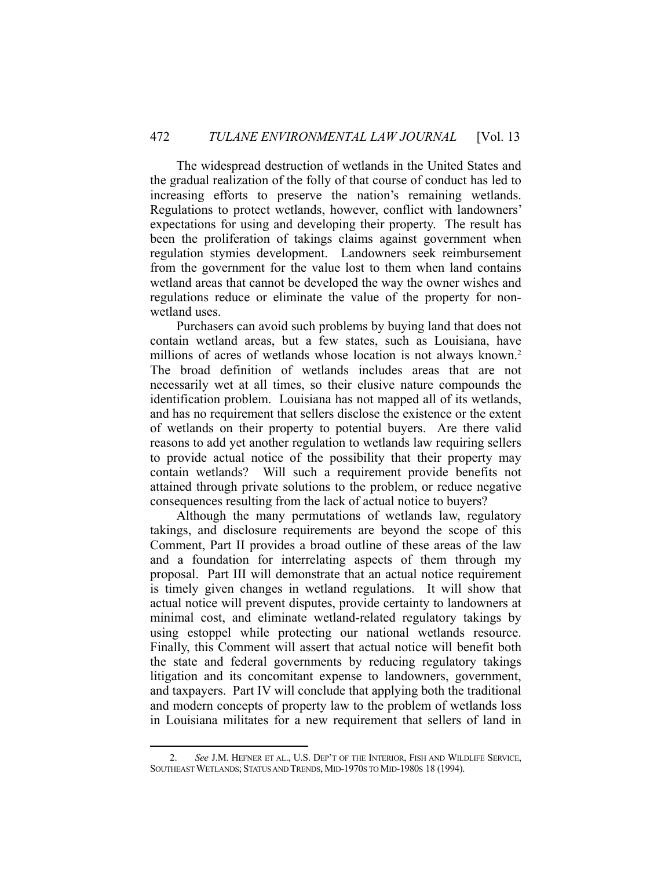The widespread destruction of wetlands in the United States and the gradual realization of the folly of that course of conduct has led to increasing efforts to preserve the nation's remaining wetlands. Regulations to protect wetlands, however, conflict with landowners' expectations for using and developing their property. The result has been the proliferation of takings claims against government when regulation stymies development. Landowners seek reimbursement from the government for the value lost to them when land contains wetland areas that cannot be developed the way the owner wishes and regulations reduce or eliminate the value of the property for nonwetland uses.

 Purchasers can avoid such problems by buying land that does not contain wetland areas, but a few states, such as Louisiana, have millions of acres of wetlands whose location is not always known.<sup>2</sup> The broad definition of wetlands includes areas that are not necessarily wet at all times, so their elusive nature compounds the identification problem. Louisiana has not mapped all of its wetlands, and has no requirement that sellers disclose the existence or the extent of wetlands on their property to potential buyers. Are there valid reasons to add yet another regulation to wetlands law requiring sellers to provide actual notice of the possibility that their property may contain wetlands? Will such a requirement provide benefits not attained through private solutions to the problem, or reduce negative consequences resulting from the lack of actual notice to buyers?

 Although the many permutations of wetlands law, regulatory takings, and disclosure requirements are beyond the scope of this Comment, Part II provides a broad outline of these areas of the law and a foundation for interrelating aspects of them through my proposal. Part III will demonstrate that an actual notice requirement is timely given changes in wetland regulations. It will show that actual notice will prevent disputes, provide certainty to landowners at minimal cost, and eliminate wetland-related regulatory takings by using estoppel while protecting our national wetlands resource. Finally, this Comment will assert that actual notice will benefit both the state and federal governments by reducing regulatory takings litigation and its concomitant expense to landowners, government, and taxpayers. Part IV will conclude that applying both the traditional and modern concepts of property law to the problem of wetlands loss in Louisiana militates for a new requirement that sellers of land in

 <sup>2.</sup> *See* J.M. HEFNER ET AL., U.S. DEP'T OF THE INTERIOR, FISH AND WILDLIFE SERVICE, SOUTHEAST WETLANDS; STATUS AND TRENDS, MID-1970S TO MID-1980S 18 (1994).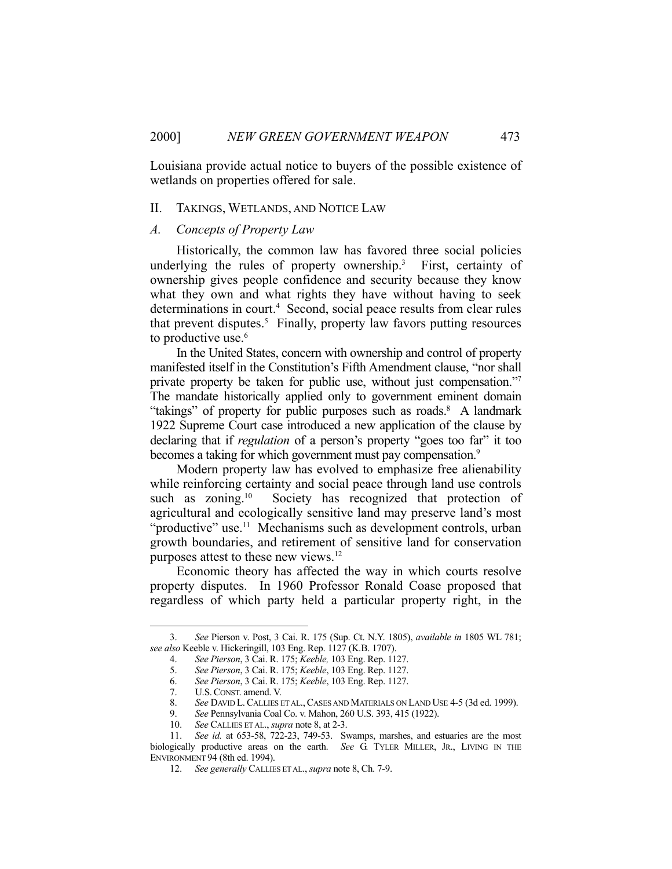Louisiana provide actual notice to buyers of the possible existence of wetlands on properties offered for sale.

#### II. TAKINGS, WETLANDS, AND NOTICE LAW

# *A. Concepts of Property Law*

 Historically, the common law has favored three social policies underlying the rules of property ownership.<sup>3</sup> First, certainty of ownership gives people confidence and security because they know what they own and what rights they have without having to seek determinations in court.<sup>4</sup> Second, social peace results from clear rules that prevent disputes.<sup>5</sup> Finally, property law favors putting resources to productive use.<sup>6</sup>

 In the United States, concern with ownership and control of property manifested itself in the Constitution's Fifth Amendment clause, "nor shall private property be taken for public use, without just compensation."7 The mandate historically applied only to government eminent domain "takings" of property for public purposes such as roads.<sup>8</sup> A landmark 1922 Supreme Court case introduced a new application of the clause by declaring that if *regulation* of a person's property "goes too far" it too becomes a taking for which government must pay compensation.<sup>9</sup>

 Modern property law has evolved to emphasize free alienability while reinforcing certainty and social peace through land use controls such as zoning.<sup>10</sup> Society has recognized that protection of agricultural and ecologically sensitive land may preserve land's most "productive" use.<sup>11</sup> Mechanisms such as development controls, urban growth boundaries, and retirement of sensitive land for conservation purposes attest to these new views.12

 Economic theory has affected the way in which courts resolve property disputes. In 1960 Professor Ronald Coase proposed that regardless of which party held a particular property right, in the

 <sup>3.</sup> *See* Pierson v. Post, 3 Cai. R. 175 (Sup. Ct. N.Y. 1805), *available in* 1805 WL 781; *see also* Keeble v. Hickeringill, 103 Eng. Rep. 1127 (K.B. 1707).

 <sup>4.</sup> *See Pierson*, 3 Cai. R. 175; *Keeble,* 103 Eng. Rep. 1127.

 <sup>5.</sup> *See Pierson*, 3 Cai. R. 175; *Keeble*, 103 Eng. Rep. 1127.

 <sup>6.</sup> *See Pierson*, 3 Cai. R. 175; *Keeble*, 103 Eng. Rep. 1127.

 <sup>7.</sup> U.S.CONST. amend. V.

<sup>8.</sup> *See* DAVID L. CALLIES ET AL., CASES AND MATERIALS ON LAND USE 4-5 (3d ed. 1999).<br>9. *See* Pennsvlvania Coal Co. v. Mahon, 260 U.S. 393, 415 (1922).

 <sup>9.</sup> *See* Pennsylvania Coal Co. v. Mahon, 260 U.S. 393, 415 (1922).

 <sup>10.</sup> *See* CALLIES ET AL., *supra* note 8, at 2-3.

 <sup>11.</sup> *See id.* at 653-58, 722-23, 749-53. Swamps, marshes, and estuaries are the most biologically productive areas on the earth. *See* G. TYLER MILLER, JR., LIVING IN THE ENVIRONMENT 94 (8th ed. 1994).

 <sup>12.</sup> *See generally* CALLIES ET AL., *supra* note 8, Ch. 7-9.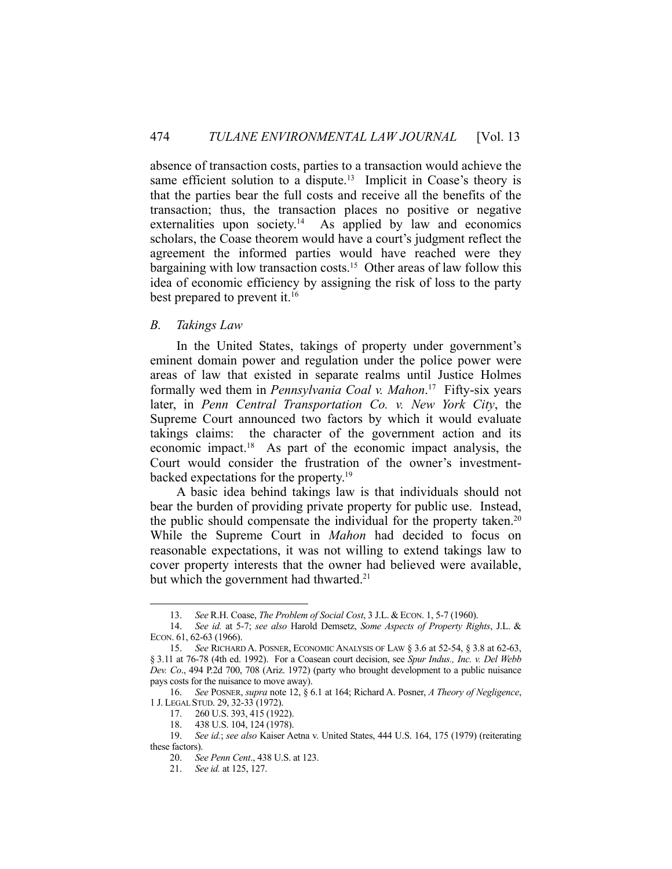absence of transaction costs, parties to a transaction would achieve the same efficient solution to a dispute.<sup>13</sup> Implicit in Coase's theory is that the parties bear the full costs and receive all the benefits of the transaction; thus, the transaction places no positive or negative externalities upon society.<sup>14</sup> As applied by law and economics scholars, the Coase theorem would have a court's judgment reflect the agreement the informed parties would have reached were they bargaining with low transaction costs.<sup>15</sup> Other areas of law follow this idea of economic efficiency by assigning the risk of loss to the party best prepared to prevent it.<sup>16</sup>

# *B. Takings Law*

 In the United States, takings of property under government's eminent domain power and regulation under the police power were areas of law that existed in separate realms until Justice Holmes formally wed them in *Pennsylvania Coal v. Mahon*. 17 Fifty-six years later, in *Penn Central Transportation Co. v. New York City*, the Supreme Court announced two factors by which it would evaluate takings claims: the character of the government action and its economic impact.18 As part of the economic impact analysis, the Court would consider the frustration of the owner's investmentbacked expectations for the property.19

 A basic idea behind takings law is that individuals should not bear the burden of providing private property for public use. Instead, the public should compensate the individual for the property taken.<sup>20</sup> While the Supreme Court in *Mahon* had decided to focus on reasonable expectations, it was not willing to extend takings law to cover property interests that the owner had believed were available, but which the government had thwarted.<sup>21</sup>

<sup>13.</sup> *See* R.H. Coase, *The Problem of Social Cost*, 3 J.L. & ECON. 1, 5-7 (1960).<br>14. *See id.* at 5-7: *see also* Harold Demsetz. *Some Aspects of Property Rig* 

 <sup>14.</sup> *See id.* at 5-7; *see also* Harold Demsetz, *Some Aspects of Property Rights*, J.L. & ECON. 61, 62-63 (1966).

 <sup>15.</sup> *See* RICHARD A. POSNER, ECONOMIC ANALYSIS OF LAW § 3.6 at 52-54, § 3.8 at 62-63, § 3.11 at 76-78 (4th ed. 1992). For a Coasean court decision, see *Spur Indus., Inc. v. Del Webb Dev. Co*., 494 P.2d 700, 708 (Ariz. 1972) (party who brought development to a public nuisance pays costs for the nuisance to move away).

 <sup>16.</sup> *See* POSNER, *supra* note 12, § 6.1 at 164; Richard A. Posner, *A Theory of Negligence*, 1 J. LEGAL STUD. 29, 32-33 (1972).

 <sup>17. 260</sup> U.S. 393, 415 (1922).

 <sup>18. 438</sup> U.S. 104, 124 (1978).

 <sup>19.</sup> *See id.*; *see also* Kaiser Aetna v. United States, 444 U.S. 164, 175 (1979) (reiterating these factors).

 <sup>20.</sup> *See Penn Cent*., 438 U.S. at 123.

 <sup>21.</sup> *See id.* at 125, 127.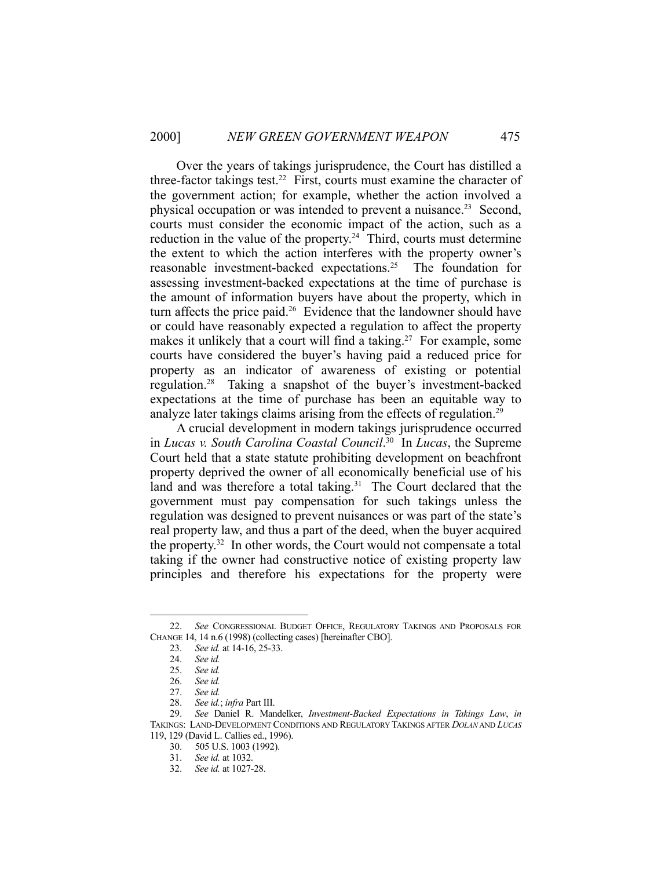Over the years of takings jurisprudence, the Court has distilled a three-factor takings test.<sup>22</sup> First, courts must examine the character of the government action; for example, whether the action involved a physical occupation or was intended to prevent a nuisance.<sup>23</sup> Second, courts must consider the economic impact of the action, such as a reduction in the value of the property.<sup>24</sup> Third, courts must determine the extent to which the action interferes with the property owner's reasonable investment-backed expectations.25 The foundation for assessing investment-backed expectations at the time of purchase is the amount of information buyers have about the property, which in turn affects the price paid.<sup>26</sup> Evidence that the landowner should have or could have reasonably expected a regulation to affect the property makes it unlikely that a court will find a taking.<sup>27</sup> For example, some courts have considered the buyer's having paid a reduced price for property as an indicator of awareness of existing or potential regulation.28 Taking a snapshot of the buyer's investment-backed expectations at the time of purchase has been an equitable way to analyze later takings claims arising from the effects of regulation.<sup>29</sup>

 A crucial development in modern takings jurisprudence occurred in *Lucas v. South Carolina Coastal Council*. 30 In *Lucas*, the Supreme Court held that a state statute prohibiting development on beachfront property deprived the owner of all economically beneficial use of his land and was therefore a total taking.<sup>31</sup> The Court declared that the government must pay compensation for such takings unless the regulation was designed to prevent nuisances or was part of the state's real property law, and thus a part of the deed, when the buyer acquired the property.32 In other words, the Court would not compensate a total taking if the owner had constructive notice of existing property law principles and therefore his expectations for the property were

 <sup>22.</sup> *See* CONGRESSIONAL BUDGET OFFICE, REGULATORY TAKINGS AND PROPOSALS FOR CHANGE 14, 14 n.6 (1998) (collecting cases) [hereinafter CBO].

 <sup>23.</sup> *See id.* at 14-16, 25-33.

 <sup>24.</sup> *See id.*

 <sup>25.</sup> *See id.*

 <sup>26.</sup> *See id.*

 <sup>27.</sup> *See id.*

 <sup>28.</sup> *See id.*; *infra* Part III.

 <sup>29.</sup> *See* Daniel R. Mandelker, *Investment-Backed Expectations in Takings Law*, *in* TAKINGS: LAND-DEVELOPMENT CONDITIONS AND REGULATORY TAKINGS AFTER *DOLAN* AND *LUCAS* 119, 129 (David L. Callies ed., 1996).

 <sup>30. 505</sup> U.S. 1003 (1992).

 <sup>31.</sup> *See id.* at 1032.

 <sup>32.</sup> *See id.* at 1027-28.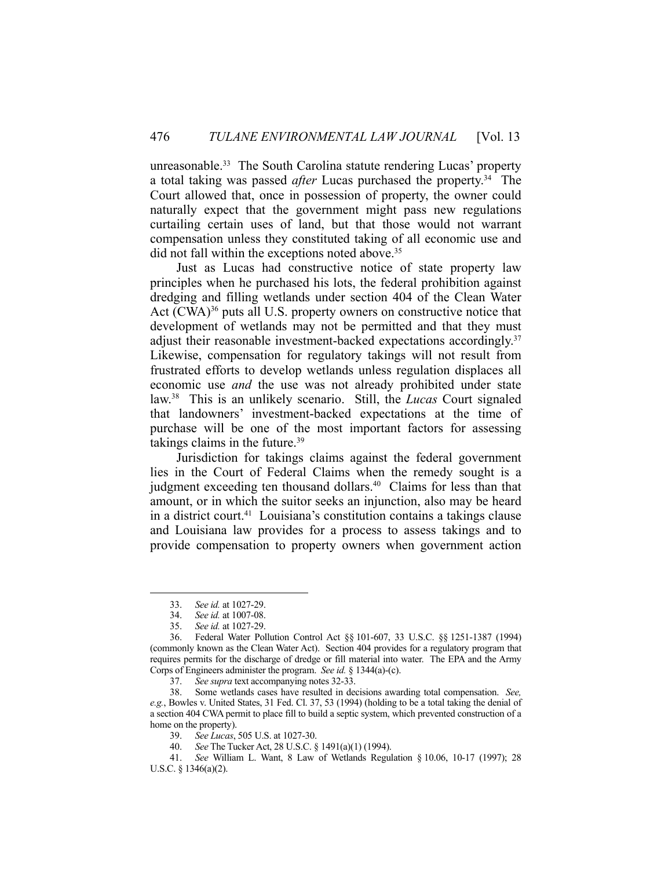unreasonable.<sup>33</sup> The South Carolina statute rendering Lucas' property a total taking was passed *after* Lucas purchased the property.34 The Court allowed that, once in possession of property, the owner could naturally expect that the government might pass new regulations curtailing certain uses of land, but that those would not warrant compensation unless they constituted taking of all economic use and did not fall within the exceptions noted above.<sup>35</sup>

 Just as Lucas had constructive notice of state property law principles when he purchased his lots, the federal prohibition against dredging and filling wetlands under section 404 of the Clean Water Act (CWA)<sup>36</sup> puts all U.S. property owners on constructive notice that development of wetlands may not be permitted and that they must adjust their reasonable investment-backed expectations accordingly.<sup>37</sup> Likewise, compensation for regulatory takings will not result from frustrated efforts to develop wetlands unless regulation displaces all economic use *and* the use was not already prohibited under state law.38 This is an unlikely scenario. Still, the *Lucas* Court signaled that landowners' investment-backed expectations at the time of purchase will be one of the most important factors for assessing takings claims in the future. $39$ 

 Jurisdiction for takings claims against the federal government lies in the Court of Federal Claims when the remedy sought is a judgment exceeding ten thousand dollars.<sup>40</sup> Claims for less than that amount, or in which the suitor seeks an injunction, also may be heard in a district court.41 Louisiana's constitution contains a takings clause and Louisiana law provides for a process to assess takings and to provide compensation to property owners when government action

 <sup>33.</sup> *See id.* at 1027-29.

 <sup>34.</sup> *See id.* at 1007-08.

 <sup>35.</sup> *See id.* at 1027-29.

 <sup>36.</sup> Federal Water Pollution Control Act §§ 101-607, 33 U.S.C. §§ 1251-1387 (1994) (commonly known as the Clean Water Act). Section 404 provides for a regulatory program that requires permits for the discharge of dredge or fill material into water. The EPA and the Army Corps of Engineers administer the program. *See id.* § 1344(a)-(c).

 <sup>37.</sup> *See supra* text accompanying notes 32-33.

 <sup>38.</sup> Some wetlands cases have resulted in decisions awarding total compensation. *See, e.g.*, Bowles v. United States, 31 Fed. Cl. 37, 53 (1994) (holding to be a total taking the denial of a section 404 CWA permit to place fill to build a septic system, which prevented construction of a home on the property).

 <sup>39.</sup> *See Lucas*, 505 U.S. at 1027-30.

 <sup>40.</sup> *See* The Tucker Act, 28 U.S.C. § 1491(a)(1) (1994).

 <sup>41.</sup> *See* William L. Want, 8 Law of Wetlands Regulation § 10.06, 10-17 (1997); 28 U.S.C. § 1346(a)(2).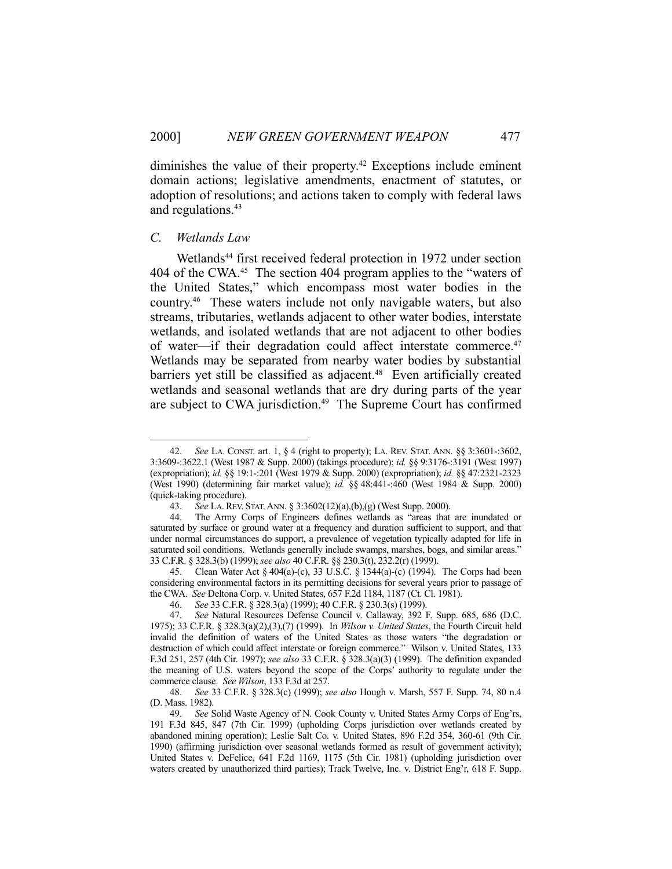diminishes the value of their property.<sup>42</sup> Exceptions include eminent domain actions; legislative amendments, enactment of statutes, or adoption of resolutions; and actions taken to comply with federal laws and regulations.<sup>43</sup>

# *C. Wetlands Law*

<u>.</u>

Wetlands<sup>44</sup> first received federal protection in 1972 under section 404 of the CWA.45 The section 404 program applies to the "waters of the United States," which encompass most water bodies in the country.46 These waters include not only navigable waters, but also streams, tributaries, wetlands adjacent to other water bodies, interstate wetlands, and isolated wetlands that are not adjacent to other bodies of water—if their degradation could affect interstate commerce.47 Wetlands may be separated from nearby water bodies by substantial barriers yet still be classified as adjacent.<sup>48</sup> Even artificially created wetlands and seasonal wetlands that are dry during parts of the year are subject to CWA jurisdiction.<sup>49</sup> The Supreme Court has confirmed

 <sup>42.</sup> *See* LA. CONST. art. 1, § 4 (right to property); LA. REV. STAT. ANN. §§ 3:3601-:3602, 3:3609-:3622.1 (West 1987 & Supp. 2000) (takings procedure); *id.* §§ 9:3176-:3191 (West 1997) (expropriation); *id.* §§ 19:1-:201 (West 1979 & Supp. 2000) (expropriation); *id.* §§ 47:2321-2323 (West 1990) (determining fair market value); *id.* §§ 48:441-:460 (West 1984 & Supp. 2000) (quick-taking procedure).

 <sup>43.</sup> *See* LA.REV. STAT.ANN. § 3:3602(12)(a),(b),(g) (West Supp. 2000).

 <sup>44.</sup> The Army Corps of Engineers defines wetlands as "areas that are inundated or saturated by surface or ground water at a frequency and duration sufficient to support, and that under normal circumstances do support, a prevalence of vegetation typically adapted for life in saturated soil conditions. Wetlands generally include swamps, marshes, bogs, and similar areas." 33 C.F.R. § 328.3(b) (1999); *see also* 40 C.F.R. §§ 230.3(t), 232.2(r) (1999).

 <sup>45.</sup> Clean Water Act § 404(a)-(c), 33 U.S.C. § 1344(a)-(c) (1994). The Corps had been considering environmental factors in its permitting decisions for several years prior to passage of the CWA. *See* Deltona Corp. v. United States, 657 F.2d 1184, 1187 (Ct. Cl. 1981).

 <sup>46.</sup> *See* 33 C.F.R. § 328.3(a) (1999); 40 C.F.R. § 230.3(s) (1999).

 <sup>47.</sup> *See* Natural Resources Defense Council v. Callaway, 392 F. Supp. 685, 686 (D.C. 1975); 33 C.F.R. § 328.3(a)(2),(3),(7) (1999). In *Wilson v. United States*, the Fourth Circuit held invalid the definition of waters of the United States as those waters "the degradation or destruction of which could affect interstate or foreign commerce." Wilson v. United States, 133 F.3d 251, 257 (4th Cir. 1997); *see also* 33 C.F.R. § 328.3(a)(3) (1999). The definition expanded the meaning of U.S. waters beyond the scope of the Corps' authority to regulate under the commerce clause. *See Wilson*, 133 F.3d at 257.

 <sup>48.</sup> *See* 33 C.F.R. § 328.3(c) (1999); *see also* Hough v. Marsh, 557 F. Supp. 74, 80 n.4 (D. Mass. 1982).

 <sup>49.</sup> *See* Solid Waste Agency of N. Cook County v. United States Army Corps of Eng'rs, 191 F.3d 845, 847 (7th Cir. 1999) (upholding Corps jurisdiction over wetlands created by abandoned mining operation); Leslie Salt Co. v. United States, 896 F.2d 354, 360-61 (9th Cir. 1990) (affirming jurisdiction over seasonal wetlands formed as result of government activity); United States v. DeFelice, 641 F.2d 1169, 1175 (5th Cir. 1981) (upholding jurisdiction over waters created by unauthorized third parties); Track Twelve, Inc. v. District Eng'r, 618 F. Supp.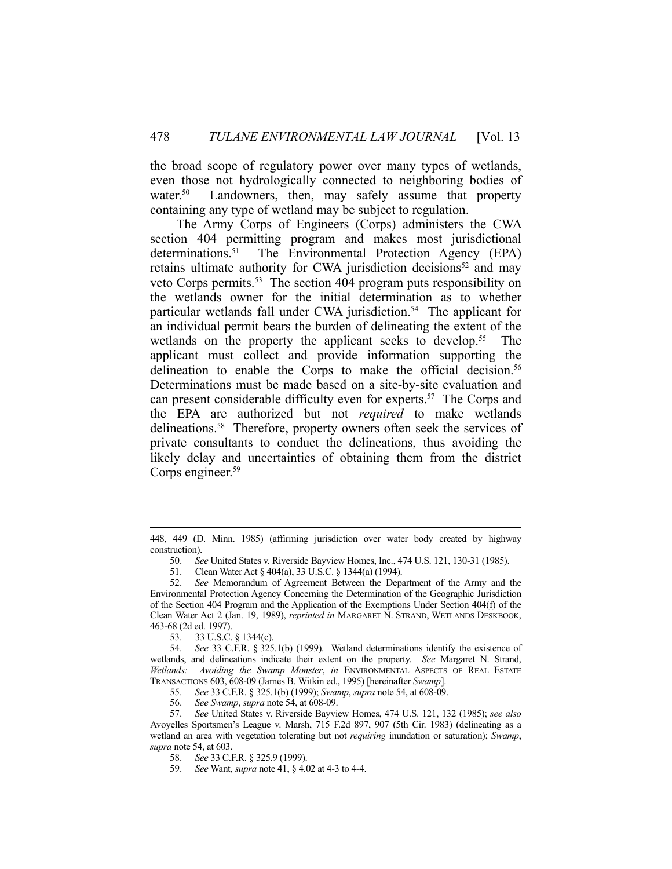the broad scope of regulatory power over many types of wetlands, even those not hydrologically connected to neighboring bodies of water.<sup>50</sup> Landowners, then, may safely assume that property containing any type of wetland may be subject to regulation.

 The Army Corps of Engineers (Corps) administers the CWA section 404 permitting program and makes most jurisdictional determinations.51 The Environmental Protection Agency (EPA) retains ultimate authority for CWA jurisdiction decisions<sup>52</sup> and may veto Corps permits.<sup>53</sup> The section 404 program puts responsibility on the wetlands owner for the initial determination as to whether particular wetlands fall under CWA jurisdiction.<sup>54</sup> The applicant for an individual permit bears the burden of delineating the extent of the wetlands on the property the applicant seeks to develop.<sup>55</sup> The applicant must collect and provide information supporting the delineation to enable the Corps to make the official decision.<sup>56</sup> Determinations must be made based on a site-by-site evaluation and can present considerable difficulty even for experts.<sup>57</sup> The Corps and the EPA are authorized but not *required* to make wetlands delineations.<sup>58</sup> Therefore, property owners often seek the services of private consultants to conduct the delineations, thus avoiding the likely delay and uncertainties of obtaining them from the district Corps engineer.<sup>59</sup>

55. *See* 33 C.F.R. § 325.1(b) (1999); *Swamp*, *supra* note 54, at 608-09.

 <sup>448, 449 (</sup>D. Minn. 1985) (affirming jurisdiction over water body created by highway construction).

 <sup>50.</sup> *See* United States v. Riverside Bayview Homes, Inc., 474 U.S. 121, 130-31 (1985).

 <sup>51.</sup> Clean Water Act § 404(a), 33 U.S.C. § 1344(a) (1994).

 <sup>52.</sup> *See* Memorandum of Agreement Between the Department of the Army and the Environmental Protection Agency Concerning the Determination of the Geographic Jurisdiction of the Section 404 Program and the Application of the Exemptions Under Section 404(f) of the Clean Water Act 2 (Jan. 19, 1989), *reprinted in* MARGARET N. STRAND, WETLANDS DESKBOOK, 463-68 (2d ed. 1997).

 <sup>53. 33</sup> U.S.C. § 1344(c).

 <sup>54.</sup> *See* 33 C.F.R. § 325.1(b) (1999). Wetland determinations identify the existence of wetlands, and delineations indicate their extent on the property. *See* Margaret N. Strand, *Wetlands: Avoiding the Swamp Monster*, *in* ENVIRONMENTAL ASPECTS OF REAL ESTATE TRANSACTIONS 603, 608-09 (James B. Witkin ed., 1995) [hereinafter *Swamp*].

 <sup>56.</sup> *See Swamp*, *supra* note 54, at 608-09.

 <sup>57.</sup> *See* United States v. Riverside Bayview Homes, 474 U.S. 121, 132 (1985); *see also* Avoyelles Sportsmen's League v. Marsh, 715 F.2d 897, 907 (5th Cir. 1983) (delineating as a wetland an area with vegetation tolerating but not *requiring* inundation or saturation); *Swamp*, *supra* note 54, at 603.

 <sup>58.</sup> *See* 33 C.F.R. § 325.9 (1999).

 <sup>59.</sup> *See* Want, *supra* note 41, § 4.02 at 4-3 to 4-4.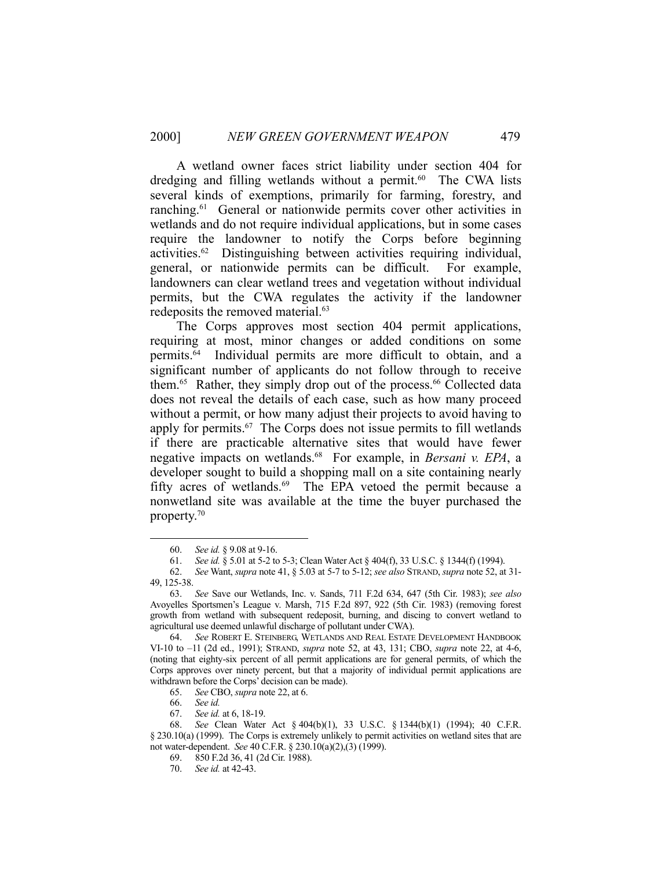A wetland owner faces strict liability under section 404 for dredging and filling wetlands without a permit.<sup>60</sup> The CWA lists several kinds of exemptions, primarily for farming, forestry, and ranching.<sup>61</sup> General or nationwide permits cover other activities in wetlands and do not require individual applications, but in some cases require the landowner to notify the Corps before beginning activities.62 Distinguishing between activities requiring individual, general, or nationwide permits can be difficult. For example, landowners can clear wetland trees and vegetation without individual permits, but the CWA regulates the activity if the landowner redeposits the removed material.<sup>63</sup>

 The Corps approves most section 404 permit applications, requiring at most, minor changes or added conditions on some permits.64 Individual permits are more difficult to obtain, and a significant number of applicants do not follow through to receive them.<sup>65</sup> Rather, they simply drop out of the process.<sup>66</sup> Collected data does not reveal the details of each case, such as how many proceed without a permit, or how many adjust their projects to avoid having to apply for permits.<sup>67</sup> The Corps does not issue permits to fill wetlands if there are practicable alternative sites that would have fewer negative impacts on wetlands.68 For example, in *Bersani v. EPA*, a developer sought to build a shopping mall on a site containing nearly fifty acres of wetlands.<sup>69</sup> The EPA vetoed the permit because a nonwetland site was available at the time the buyer purchased the property.70

 <sup>60.</sup> *See id.* § 9.08 at 9-16.

 <sup>61.</sup> *See id.* § 5.01 at 5-2 to 5-3; Clean Water Act § 404(f), 33 U.S.C. § 1344(f) (1994).

 <sup>62.</sup> *See* Want, *supra* note 41, § 5.03 at 5-7 to 5-12; *see also* STRAND, *supra* note 52, at 31- 49, 125-38.

 <sup>63.</sup> *See* Save our Wetlands, Inc. v. Sands, 711 F.2d 634, 647 (5th Cir. 1983); *see also* Avoyelles Sportsmen's League v. Marsh, 715 F.2d 897, 922 (5th Cir. 1983) (removing forest growth from wetland with subsequent redeposit, burning, and discing to convert wetland to agricultural use deemed unlawful discharge of pollutant under CWA).

 <sup>64.</sup> *See* ROBERT E. STEINBERG, WETLANDS AND REAL ESTATE DEVELOPMENT HANDBOOK VI-10 to –11 (2d ed., 1991); STRAND, *supra* note 52, at 43, 131; CBO, *supra* note 22, at 4-6, (noting that eighty-six percent of all permit applications are for general permits, of which the Corps approves over ninety percent, but that a majority of individual permit applications are withdrawn before the Corps' decision can be made).

 <sup>65.</sup> *See* CBO, *supra* note 22, at 6.

 <sup>66.</sup> *See id.*

 <sup>67.</sup> *See id.* at 6, 18-19.

 <sup>68.</sup> *See* Clean Water Act § 404(b)(1), 33 U.S.C. § 1344(b)(1) (1994); 40 C.F.R. § 230.10(a) (1999). The Corps is extremely unlikely to permit activities on wetland sites that are not water-dependent. *See* 40 C.F.R. § 230.10(a)(2),(3) (1999).

 <sup>69. 850</sup> F.2d 36, 41 (2d Cir. 1988).

 <sup>70.</sup> *See id.* at 42-43.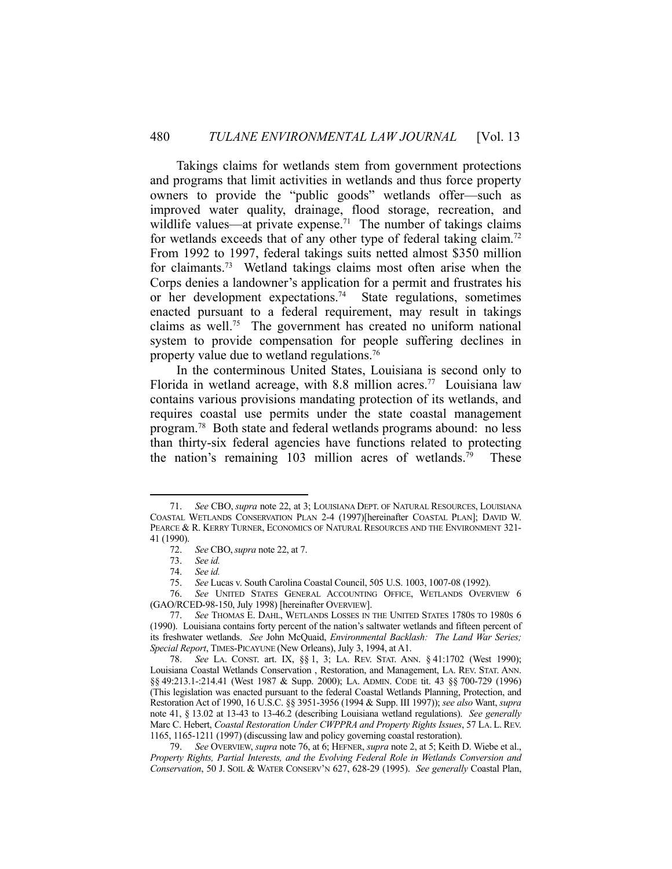Takings claims for wetlands stem from government protections and programs that limit activities in wetlands and thus force property owners to provide the "public goods" wetlands offer—such as improved water quality, drainage, flood storage, recreation, and wildlife values—at private expense.<sup>71</sup> The number of takings claims for wetlands exceeds that of any other type of federal taking claim.<sup>72</sup> From 1992 to 1997, federal takings suits netted almost \$350 million for claimants.73 Wetland takings claims most often arise when the Corps denies a landowner's application for a permit and frustrates his or her development expectations.74 State regulations, sometimes enacted pursuant to a federal requirement, may result in takings claims as well.<sup>75</sup> The government has created no uniform national system to provide compensation for people suffering declines in property value due to wetland regulations.76

 In the conterminous United States, Louisiana is second only to Florida in wetland acreage, with 8.8 million acres.<sup>77</sup> Louisiana law contains various provisions mandating protection of its wetlands, and requires coastal use permits under the state coastal management program.78 Both state and federal wetlands programs abound: no less than thirty-six federal agencies have functions related to protecting the nation's remaining  $103$  million acres of wetlands.<sup>79</sup> These

 <sup>71.</sup> *See* CBO, *supra* note 22, at 3; LOUISIANA DEPT. OF NATURAL RESOURCES, LOUISIANA COASTAL WETLANDS CONSERVATION PLAN 2-4 (1997)[hereinafter COASTAL PLAN]; DAVID W. PEARCE & R. KERRY TURNER, ECONOMICS OF NATURAL RESOURCES AND THE ENVIRONMENT 321- 41 (1990).

 <sup>72.</sup> *See* CBO,*supra* note 22, at 7.

 <sup>73.</sup> *See id.*

 <sup>74.</sup> *See id.*

 <sup>75.</sup> *See* Lucas v. South Carolina Coastal Council, 505 U.S. 1003, 1007-08 (1992).

 <sup>76.</sup> *See* UNITED STATES GENERAL ACCOUNTING OFFICE, WETLANDS OVERVIEW 6 (GAO/RCED-98-150, July 1998) [hereinafter OVERVIEW].

 <sup>77.</sup> *See* THOMAS E. DAHL, WETLANDS LOSSES IN THE UNITED STATES 1780S TO 1980S 6 (1990). Louisiana contains forty percent of the nation's saltwater wetlands and fifteen percent of its freshwater wetlands. *See* John McQuaid, *Environmental Backlash: The Land War Series; Special Report*, TIMES-PICAYUNE (New Orleans), July 3, 1994, at A1.

 <sup>78.</sup> *See* LA. CONST. art. IX, §§ 1, 3; LA. REV. STAT. ANN. § 41:1702 (West 1990); Louisiana Coastal Wetlands Conservation , Restoration, and Management, LA. REV. STAT. ANN. §§ 49:213.1-:214.41 (West 1987 & Supp. 2000); LA. ADMIN. CODE tit. 43 §§ 700-729 (1996) (This legislation was enacted pursuant to the federal Coastal Wetlands Planning, Protection, and Restoration Act of 1990, 16 U.S.C. §§ 3951-3956 (1994 & Supp. III 1997)); *see also* Want, *supra* note 41, § 13.02 at 13-43 to 13-46.2 (describing Louisiana wetland regulations). *See generally* Marc C. Hebert, *Coastal Restoration Under CWPPRA and Property Rights Issues*, 57 LA. L. REV. 1165, 1165-1211 (1997) (discussing law and policy governing coastal restoration).

 <sup>79.</sup> *See* OVERVIEW, *supra* note 76, at 6; HEFNER, *supra* note 2, at 5; Keith D. Wiebe et al., *Property Rights, Partial Interests, and the Evolving Federal Role in Wetlands Conversion and Conservation*, 50 J. SOIL & WATER CONSERV'N 627, 628-29 (1995). *See generally* Coastal Plan,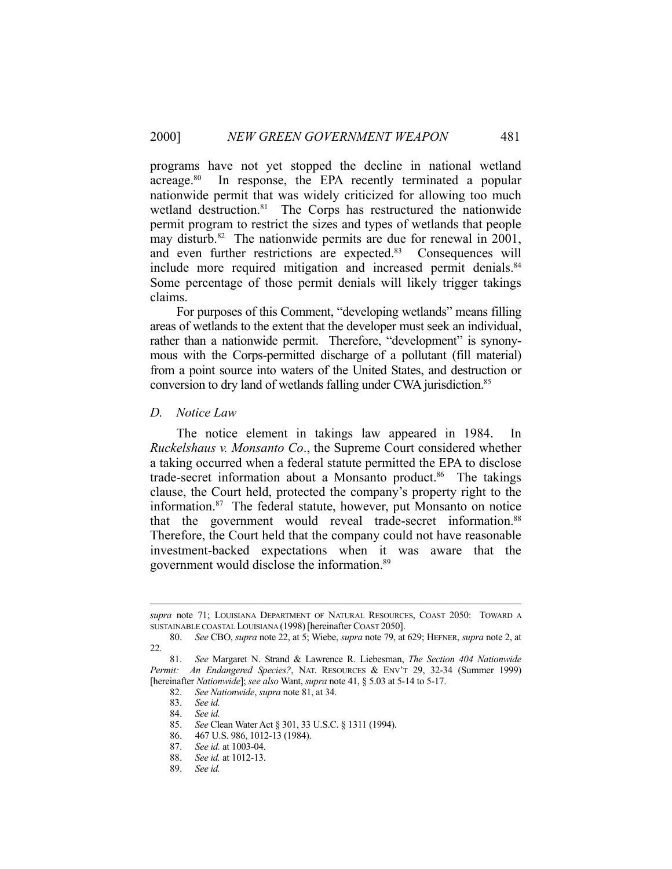programs have not yet stopped the decline in national wetland acreage.<sup>80</sup> In response, the EPA recently terminated a popular nationwide permit that was widely criticized for allowing too much wetland destruction.<sup>81</sup> The Corps has restructured the nationwide permit program to restrict the sizes and types of wetlands that people may disturb.<sup>82</sup> The nationwide permits are due for renewal in 2001, and even further restrictions are expected.<sup>83</sup> Consequences will include more required mitigation and increased permit denials.<sup>84</sup> Some percentage of those permit denials will likely trigger takings claims.

 For purposes of this Comment, "developing wetlands" means filling areas of wetlands to the extent that the developer must seek an individual, rather than a nationwide permit. Therefore, "development" is synonymous with the Corps-permitted discharge of a pollutant (fill material) from a point source into waters of the United States, and destruction or conversion to dry land of wetlands falling under CWA jurisdiction.<sup>85</sup>

#### *D. Notice Law*

 The notice element in takings law appeared in 1984. In *Ruckelshaus v. Monsanto Co*., the Supreme Court considered whether a taking occurred when a federal statute permitted the EPA to disclose trade-secret information about a Monsanto product.<sup>86</sup> The takings clause, the Court held, protected the company's property right to the information.87 The federal statute, however, put Monsanto on notice that the government would reveal trade-secret information.<sup>88</sup> Therefore, the Court held that the company could not have reasonable investment-backed expectations when it was aware that the government would disclose the information.89

*supra* note 71; LOUISIANA DEPARTMENT OF NATURAL RESOURCES, COAST 2050: TOWARD A SUSTAINABLE COASTAL LOUISIANA (1998)[hereinafter COAST 2050].

 <sup>80.</sup> *See* CBO, *supra* note 22, at 5; Wiebe, *supra* note 79, at 629; HEFNER, *supra* note 2, at 22.

 <sup>81.</sup> *See* Margaret N. Strand & Lawrence R. Liebesman, *The Section 404 Nationwide Permit: An Endangered Species?*, NAT. RESOURCES & ENV'T 29, 32-34 (Summer 1999) [hereinafter *Nationwide*]; *see also* Want, *supra* note 41, § 5.03 at 5-14 to 5-17.

 <sup>82.</sup> *See Nationwide*, *supra* note 81, at 34.

 <sup>83.</sup> *See id.*

 <sup>84.</sup> *See id.*

 <sup>85.</sup> *See* Clean Water Act § 301, 33 U.S.C. § 1311 (1994).

 <sup>86. 467</sup> U.S. 986, 1012-13 (1984).

 <sup>87.</sup> *See id.* at 1003-04.

 <sup>88.</sup> *See id.* at 1012-13.

 <sup>89.</sup> *See id.*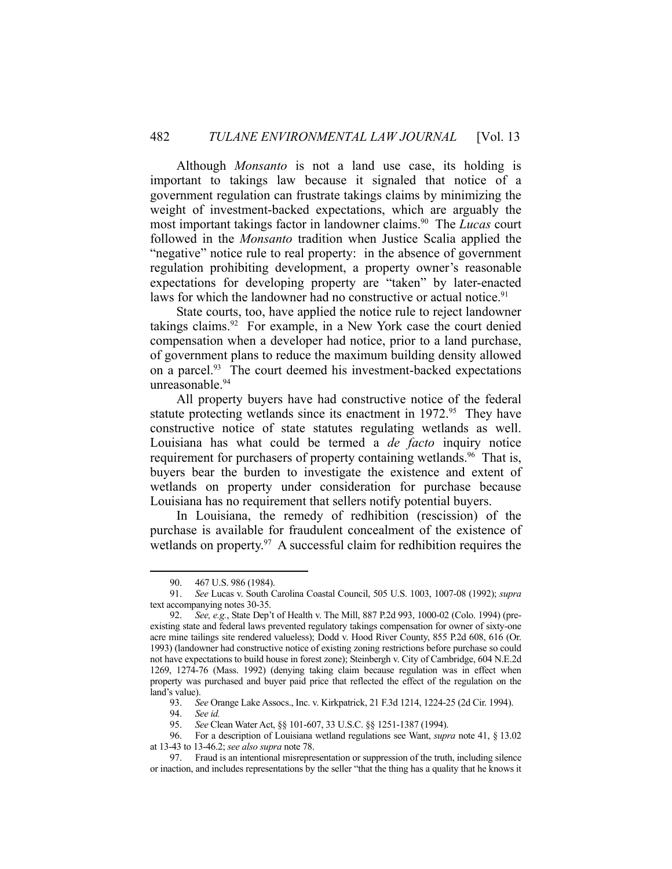Although *Monsanto* is not a land use case, its holding is important to takings law because it signaled that notice of a government regulation can frustrate takings claims by minimizing the weight of investment-backed expectations, which are arguably the most important takings factor in landowner claims.90 The *Lucas* court followed in the *Monsanto* tradition when Justice Scalia applied the "negative" notice rule to real property: in the absence of government regulation prohibiting development, a property owner's reasonable expectations for developing property are "taken" by later-enacted laws for which the landowner had no constructive or actual notice.<sup>91</sup>

 State courts, too, have applied the notice rule to reject landowner takings claims.92 For example, in a New York case the court denied compensation when a developer had notice, prior to a land purchase, of government plans to reduce the maximum building density allowed on a parcel.<sup>93</sup> The court deemed his investment-backed expectations unreasonable.<sup>94</sup>

 All property buyers have had constructive notice of the federal statute protecting wetlands since its enactment in 1972.<sup>95</sup> They have constructive notice of state statutes regulating wetlands as well. Louisiana has what could be termed a *de facto* inquiry notice requirement for purchasers of property containing wetlands.<sup>96</sup> That is, buyers bear the burden to investigate the existence and extent of wetlands on property under consideration for purchase because Louisiana has no requirement that sellers notify potential buyers.

 In Louisiana, the remedy of redhibition (rescission) of the purchase is available for fraudulent concealment of the existence of wetlands on property. $97$  A successful claim for redhibition requires the

 <sup>90. 467</sup> U.S. 986 (1984).

 <sup>91.</sup> *See* Lucas v. South Carolina Coastal Council, 505 U.S. 1003, 1007-08 (1992); *supra* text accompanying notes 30-35.

 <sup>92.</sup> *See, e.g.*, State Dep't of Health v. The Mill, 887 P.2d 993, 1000-02 (Colo. 1994) (preexisting state and federal laws prevented regulatory takings compensation for owner of sixty-one acre mine tailings site rendered valueless); Dodd v. Hood River County, 855 P.2d 608, 616 (Or. 1993) (landowner had constructive notice of existing zoning restrictions before purchase so could not have expectations to build house in forest zone); Steinbergh v. City of Cambridge, 604 N.E.2d 1269, 1274-76 (Mass. 1992) (denying taking claim because regulation was in effect when property was purchased and buyer paid price that reflected the effect of the regulation on the land's value).

 <sup>93.</sup> *See* Orange Lake Assocs., Inc. v. Kirkpatrick, 21 F.3d 1214, 1224-25 (2d Cir. 1994).

 <sup>94.</sup> *See id.*

 <sup>95.</sup> *See* Clean Water Act, §§ 101-607, 33 U.S.C. §§ 1251-1387 (1994).

 <sup>96.</sup> For a description of Louisiana wetland regulations see Want, *supra* note 41, § 13.02 at 13-43 to 13-46.2; *see also supra* note 78.

 <sup>97.</sup> Fraud is an intentional misrepresentation or suppression of the truth, including silence or inaction, and includes representations by the seller "that the thing has a quality that he knows it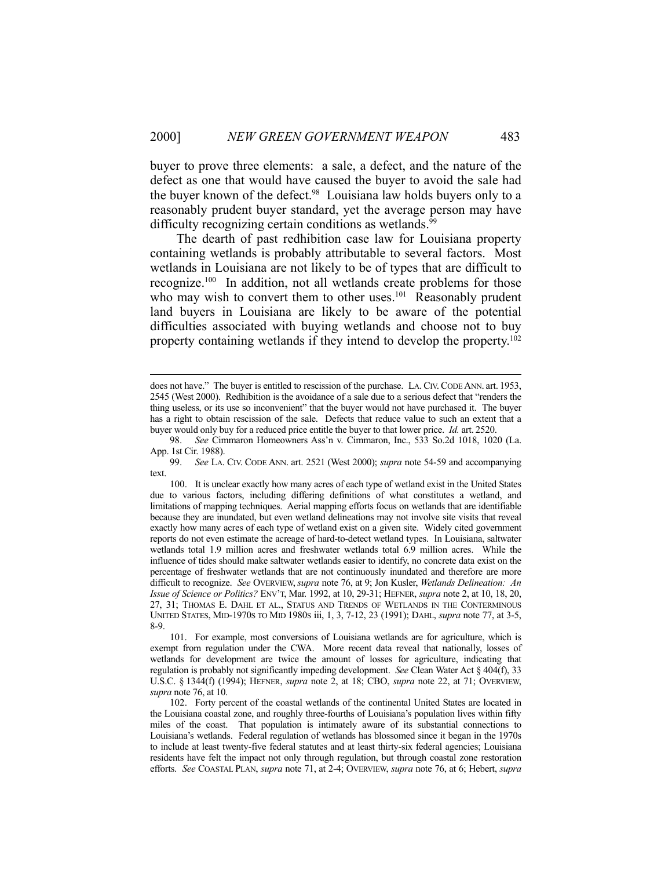buyer to prove three elements: a sale, a defect, and the nature of the defect as one that would have caused the buyer to avoid the sale had the buyer known of the defect.<sup>98</sup> Louisiana law holds buyers only to a reasonably prudent buyer standard, yet the average person may have difficulty recognizing certain conditions as wetlands.<sup>99</sup>

 The dearth of past redhibition case law for Louisiana property containing wetlands is probably attributable to several factors. Most wetlands in Louisiana are not likely to be of types that are difficult to recognize.100 In addition, not all wetlands create problems for those who may wish to convert them to other uses.<sup>101</sup> Reasonably prudent land buyers in Louisiana are likely to be aware of the potential difficulties associated with buying wetlands and choose not to buy property containing wetlands if they intend to develop the property.102

does not have." The buyer is entitled to rescission of the purchase. LA. CIV. CODE ANN. art. 1953, 2545 (West 2000). Redhibition is the avoidance of a sale due to a serious defect that "renders the thing useless, or its use so inconvenient" that the buyer would not have purchased it. The buyer has a right to obtain rescission of the sale. Defects that reduce value to such an extent that a buyer would only buy for a reduced price entitle the buyer to that lower price. *Id.* art. 2520.

 <sup>98.</sup> *See* Cimmaron Homeowners Ass'n v. Cimmaron, Inc., 533 So.2d 1018, 1020 (La. App. 1st Cir. 1988).

 <sup>99.</sup> *See* LA. CIV. CODE ANN. art. 2521 (West 2000); *supra* note 54-59 and accompanying text.

 <sup>100.</sup> It is unclear exactly how many acres of each type of wetland exist in the United States due to various factors, including differing definitions of what constitutes a wetland, and limitations of mapping techniques. Aerial mapping efforts focus on wetlands that are identifiable because they are inundated, but even wetland delineations may not involve site visits that reveal exactly how many acres of each type of wetland exist on a given site. Widely cited government reports do not even estimate the acreage of hard-to-detect wetland types. In Louisiana, saltwater wetlands total 1.9 million acres and freshwater wetlands total 6.9 million acres. While the influence of tides should make saltwater wetlands easier to identify, no concrete data exist on the percentage of freshwater wetlands that are not continuously inundated and therefore are more difficult to recognize. *See* OVERVIEW, *supra* note 76, at 9; Jon Kusler, *Wetlands Delineation: An Issue of Science or Politics?* ENV'T, Mar. 1992, at 10, 29-31; HEFNER, *supra* note 2, at 10, 18, 20, 27, 31; THOMAS E. DAHL ET AL., STATUS AND TRENDS OF WETLANDS IN THE CONTERMINOUS UNITED STATES, MID-1970S TO MID 1980S iii, 1, 3, 7-12, 23 (1991); DAHL, *supra* note 77, at 3-5, 8-9.

 <sup>101.</sup> For example, most conversions of Louisiana wetlands are for agriculture, which is exempt from regulation under the CWA. More recent data reveal that nationally, losses of wetlands for development are twice the amount of losses for agriculture, indicating that regulation is probably not significantly impeding development. *See* Clean Water Act § 404(f), 33 U.S.C. § 1344(f) (1994); HEFNER, *supra* note 2, at 18; CBO, *supra* note 22, at 71; OVERVIEW, *supra* note 76, at 10.

 <sup>102.</sup> Forty percent of the coastal wetlands of the continental United States are located in the Louisiana coastal zone, and roughly three-fourths of Louisiana's population lives within fifty miles of the coast. That population is intimately aware of its substantial connections to Louisiana's wetlands. Federal regulation of wetlands has blossomed since it began in the 1970s to include at least twenty-five federal statutes and at least thirty-six federal agencies; Louisiana residents have felt the impact not only through regulation, but through coastal zone restoration efforts. *See* COASTAL PLAN, *supra* note 71, at 2-4; OVERVIEW, *supra* note 76, at 6; Hebert, *supra*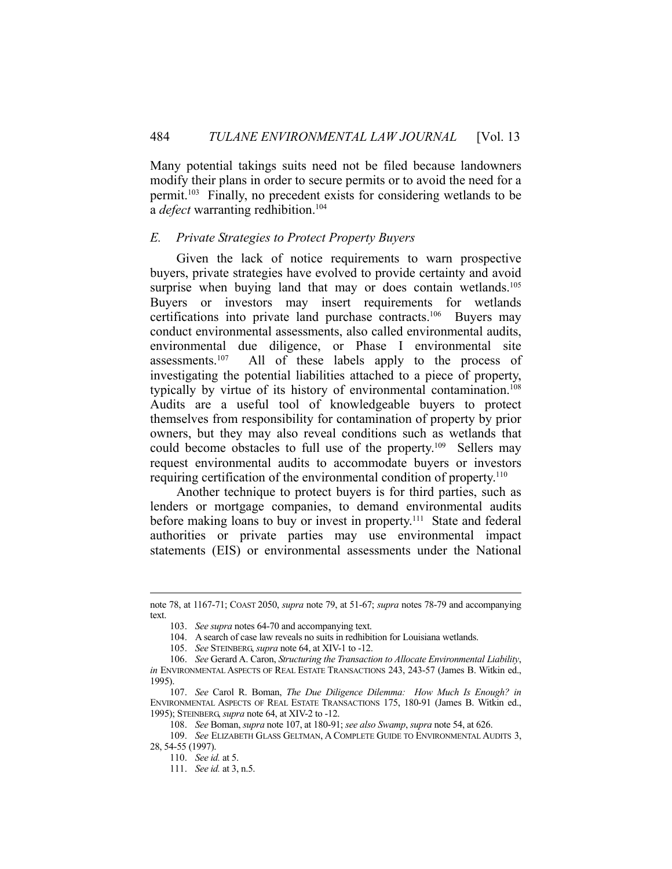Many potential takings suits need not be filed because landowners modify their plans in order to secure permits or to avoid the need for a permit.103 Finally, no precedent exists for considering wetlands to be a *defect* warranting redhibition.<sup>104</sup>

## *E. Private Strategies to Protect Property Buyers*

 Given the lack of notice requirements to warn prospective buyers, private strategies have evolved to provide certainty and avoid surprise when buying land that may or does contain wetlands.<sup>105</sup> Buyers or investors may insert requirements for wetlands certifications into private land purchase contracts.106 Buyers may conduct environmental assessments, also called environmental audits, environmental due diligence, or Phase I environmental site assessments.107 All of these labels apply to the process of investigating the potential liabilities attached to a piece of property, typically by virtue of its history of environmental contamination.<sup>108</sup> Audits are a useful tool of knowledgeable buyers to protect themselves from responsibility for contamination of property by prior owners, but they may also reveal conditions such as wetlands that could become obstacles to full use of the property.<sup>109</sup> Sellers may request environmental audits to accommodate buyers or investors requiring certification of the environmental condition of property.<sup>110</sup>

 Another technique to protect buyers is for third parties, such as lenders or mortgage companies, to demand environmental audits before making loans to buy or invest in property.<sup>111</sup> State and federal authorities or private parties may use environmental impact statements (EIS) or environmental assessments under the National

note 78, at 1167-71; COAST 2050, *supra* note 79, at 51-67; *supra* notes 78-79 and accompanying text.

 <sup>103.</sup> *See supra* notes 64-70 and accompanying text.

 <sup>104.</sup> A search of case law reveals no suits in redhibition for Louisiana wetlands.

 <sup>105.</sup> *See* STEINBERG, *supra* note 64, at XIV-1 to -12.

 <sup>106.</sup> *See* Gerard A. Caron, *Structuring the Transaction to Allocate Environmental Liability*, *in* ENVIRONMENTAL ASPECTS OF REAL ESTATE TRANSACTIONS 243, 243-57 (James B. Witkin ed., 1995).

 <sup>107.</sup> *See* Carol R. Boman, *The Due Diligence Dilemma: How Much Is Enough? in* ENVIRONMENTAL ASPECTS OF REAL ESTATE TRANSACTIONS 175, 180-91 (James B. Witkin ed., 1995); STEINBERG, *supra* note 64, at XIV-2 to -12.

 <sup>108.</sup> *See* Boman, *supra* note 107, at 180-91; *see also Swamp*, *supra* note 54, at 626.

 <sup>109.</sup> *See* ELIZABETH GLASS GELTMAN, A COMPLETE GUIDE TO ENVIRONMENTAL AUDITS 3, 28, 54-55 (1997).

 <sup>110.</sup> *See id.* at 5.

 <sup>111.</sup> *See id.* at 3, n.5.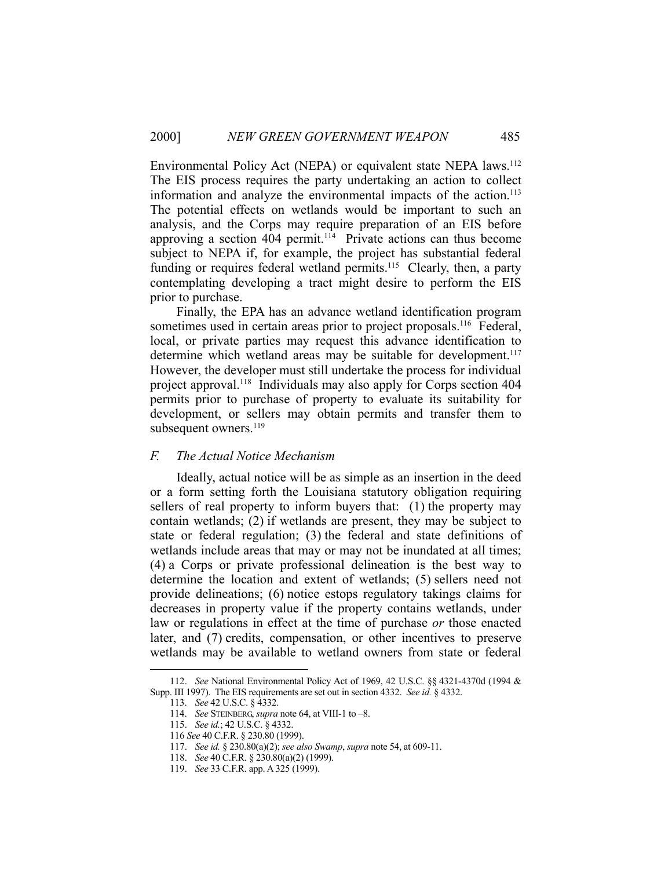Environmental Policy Act (NEPA) or equivalent state NEPA laws.<sup>112</sup> The EIS process requires the party undertaking an action to collect information and analyze the environmental impacts of the action. 113 The potential effects on wetlands would be important to such an analysis, and the Corps may require preparation of an EIS before approving a section  $404$  permit.<sup>114</sup> Private actions can thus become subject to NEPA if, for example, the project has substantial federal funding or requires federal wetland permits.<sup>115</sup> Clearly, then, a party contemplating developing a tract might desire to perform the EIS prior to purchase.

 Finally, the EPA has an advance wetland identification program sometimes used in certain areas prior to project proposals.<sup>116</sup> Federal, local, or private parties may request this advance identification to determine which wetland areas may be suitable for development.<sup>117</sup> However, the developer must still undertake the process for individual project approval.<sup>118</sup> Individuals may also apply for Corps section 404 permits prior to purchase of property to evaluate its suitability for development, or sellers may obtain permits and transfer them to subsequent owners.<sup>119</sup>

#### *F. The Actual Notice Mechanism*

 Ideally, actual notice will be as simple as an insertion in the deed or a form setting forth the Louisiana statutory obligation requiring sellers of real property to inform buyers that: (1) the property may contain wetlands; (2) if wetlands are present, they may be subject to state or federal regulation; (3) the federal and state definitions of wetlands include areas that may or may not be inundated at all times; (4) a Corps or private professional delineation is the best way to determine the location and extent of wetlands; (5) sellers need not provide delineations; (6) notice estops regulatory takings claims for decreases in property value if the property contains wetlands, under law or regulations in effect at the time of purchase *or* those enacted later, and (7) credits, compensation, or other incentives to preserve wetlands may be available to wetland owners from state or federal

 <sup>112.</sup> *See* National Environmental Policy Act of 1969, 42 U.S.C. §§ 4321-4370d (1994 & Supp. III 1997). The EIS requirements are set out in section 4332. *See id.* § 4332.

 <sup>113.</sup> *See* 42 U.S.C. § 4332.

 <sup>114.</sup> *See* STEINBERG, *supra* note 64, at VIII-1 to –8.

 <sup>115.</sup> *See id.*; 42 U.S.C. § 4332.

 <sup>116</sup> *See* 40 C.F.R. § 230.80 (1999).

 <sup>117.</sup> *See id.* § 230.80(a)(2); *see also Swamp*, *supra* note 54, at 609-11.

 <sup>118.</sup> *See* 40 C.F.R. § 230.80(a)(2) (1999).

 <sup>119.</sup> *See* 33 C.F.R. app. A 325 (1999).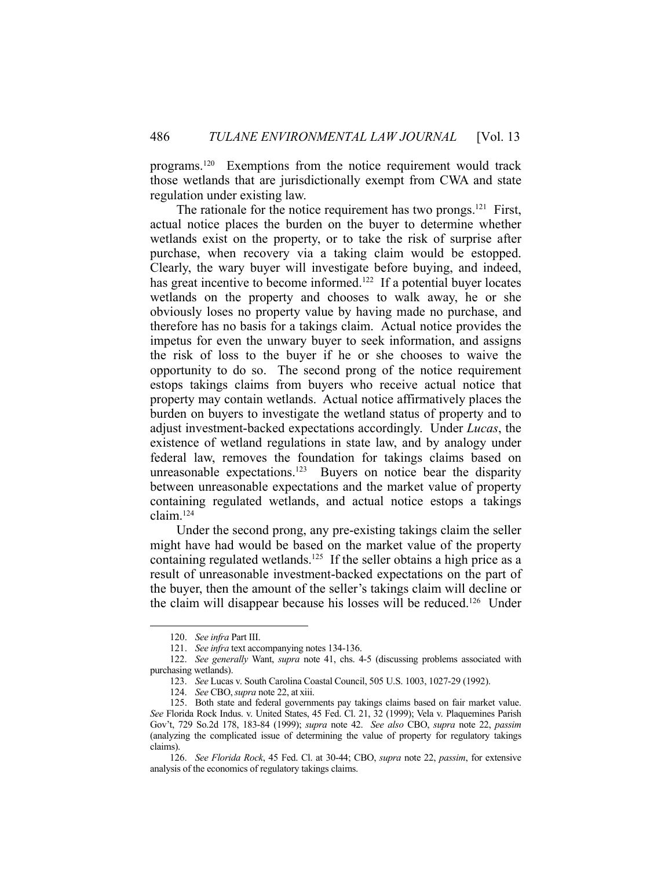programs.120 Exemptions from the notice requirement would track those wetlands that are jurisdictionally exempt from CWA and state regulation under existing law.

The rationale for the notice requirement has two prongs.<sup>121</sup> First, actual notice places the burden on the buyer to determine whether wetlands exist on the property, or to take the risk of surprise after purchase, when recovery via a taking claim would be estopped. Clearly, the wary buyer will investigate before buying, and indeed, has great incentive to become informed.<sup>122</sup> If a potential buyer locates wetlands on the property and chooses to walk away, he or she obviously loses no property value by having made no purchase, and therefore has no basis for a takings claim. Actual notice provides the impetus for even the unwary buyer to seek information, and assigns the risk of loss to the buyer if he or she chooses to waive the opportunity to do so. The second prong of the notice requirement estops takings claims from buyers who receive actual notice that property may contain wetlands. Actual notice affirmatively places the burden on buyers to investigate the wetland status of property and to adjust investment-backed expectations accordingly. Under *Lucas*, the existence of wetland regulations in state law, and by analogy under federal law, removes the foundation for takings claims based on unreasonable expectations.<sup>123</sup> Buyers on notice bear the disparity between unreasonable expectations and the market value of property containing regulated wetlands, and actual notice estops a takings claim.124

 Under the second prong, any pre-existing takings claim the seller might have had would be based on the market value of the property containing regulated wetlands.<sup>125</sup> If the seller obtains a high price as a result of unreasonable investment-backed expectations on the part of the buyer, then the amount of the seller's takings claim will decline or the claim will disappear because his losses will be reduced.126 Under

 <sup>120.</sup> *See infra* Part III.

 <sup>121.</sup> *See infra* text accompanying notes 134-136.

 <sup>122.</sup> *See generally* Want, *supra* note 41, chs. 4-5 (discussing problems associated with purchasing wetlands).

 <sup>123.</sup> *See* Lucas v. South Carolina Coastal Council, 505 U.S. 1003, 1027-29 (1992).

 <sup>124.</sup> *See* CBO,*supra* note 22, at xiii.

 <sup>125.</sup> Both state and federal governments pay takings claims based on fair market value. *See* Florida Rock Indus. v. United States, 45 Fed. Cl. 21, 32 (1999); Vela v. Plaquemines Parish Gov't, 729 So.2d 178, 183-84 (1999); *supra* note 42. *See also* CBO, *supra* note 22, *passim* (analyzing the complicated issue of determining the value of property for regulatory takings claims).

 <sup>126.</sup> *See Florida Rock*, 45 Fed. Cl. at 30-44; CBO, *supra* note 22, *passim*, for extensive analysis of the economics of regulatory takings claims.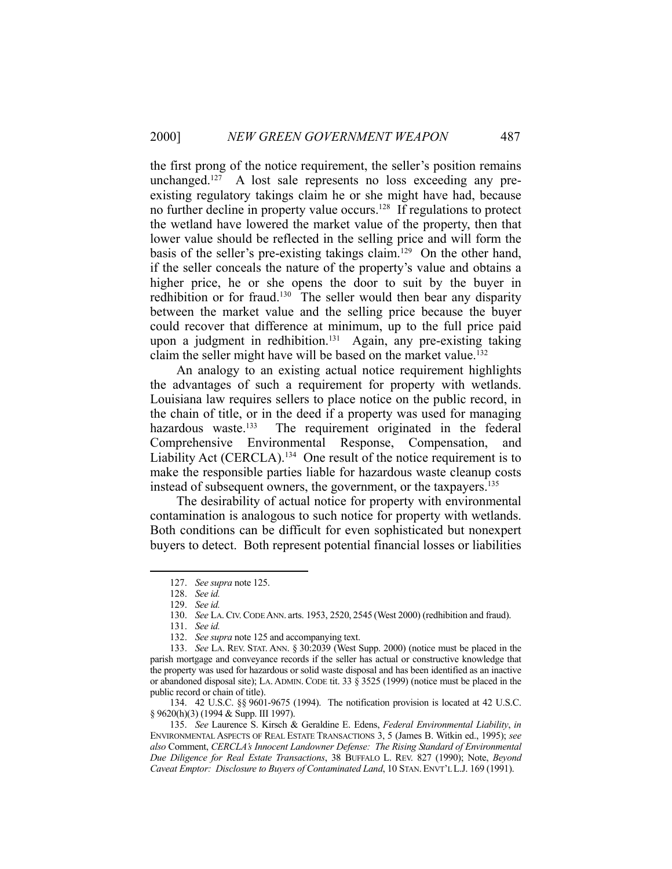the first prong of the notice requirement, the seller's position remains unchanged.<sup>127</sup> A lost sale represents no loss exceeding any preexisting regulatory takings claim he or she might have had, because no further decline in property value occurs.<sup>128</sup> If regulations to protect the wetland have lowered the market value of the property, then that lower value should be reflected in the selling price and will form the basis of the seller's pre-existing takings claim.<sup>129</sup> On the other hand, if the seller conceals the nature of the property's value and obtains a higher price, he or she opens the door to suit by the buyer in redhibition or for fraud.<sup>130</sup> The seller would then bear any disparity between the market value and the selling price because the buyer could recover that difference at minimum, up to the full price paid upon a judgment in redhibition.<sup>131</sup> Again, any pre-existing taking claim the seller might have will be based on the market value.132

 An analogy to an existing actual notice requirement highlights the advantages of such a requirement for property with wetlands. Louisiana law requires sellers to place notice on the public record, in the chain of title, or in the deed if a property was used for managing hazardous waste.<sup>133</sup> The requirement originated in the federal Comprehensive Environmental Response, Compensation, and Liability Act (CERCLA).<sup>134</sup> One result of the notice requirement is to make the responsible parties liable for hazardous waste cleanup costs instead of subsequent owners, the government, or the taxpayers.135

 The desirability of actual notice for property with environmental contamination is analogous to such notice for property with wetlands. Both conditions can be difficult for even sophisticated but nonexpert buyers to detect. Both represent potential financial losses or liabilities

<u>.</u>

 134. 42 U.S.C. §§ 9601-9675 (1994). The notification provision is located at 42 U.S.C. § 9620(h)(3) (1994 & Supp. III 1997).

 135. *See* Laurence S. Kirsch & Geraldine E. Edens, *Federal Environmental Liability*, *in* ENVIRONMENTAL ASPECTS OF REAL ESTATE TRANSACTIONS 3, 5 (James B. Witkin ed., 1995); *see also* Comment, *CERCLA's Innocent Landowner Defense: The Rising Standard of Environmental Due Diligence for Real Estate Transactions*, 38 BUFFALO L. REV. 827 (1990); Note, *Beyond Caveat Emptor: Disclosure to Buyers of Contaminated Land*, 10 STAN. ENVT'L L.J. 169 (1991).

 <sup>127.</sup> *See supra* note 125.

 <sup>128.</sup> *See id.* 

 <sup>129.</sup> *See id.*

 <sup>130.</sup> *See* LA.CIV.CODE ANN. arts. 1953, 2520, 2545 (West 2000) (redhibition and fraud).

 <sup>131.</sup> *See id.* 

 <sup>132.</sup> *See supra* note 125 and accompanying text.

 <sup>133.</sup> *See* LA. REV. STAT. ANN. § 30:2039 (West Supp. 2000) (notice must be placed in the parish mortgage and conveyance records if the seller has actual or constructive knowledge that the property was used for hazardous or solid waste disposal and has been identified as an inactive or abandoned disposal site); LA. ADMIN. CODE tit. 33 § 3525 (1999) (notice must be placed in the public record or chain of title).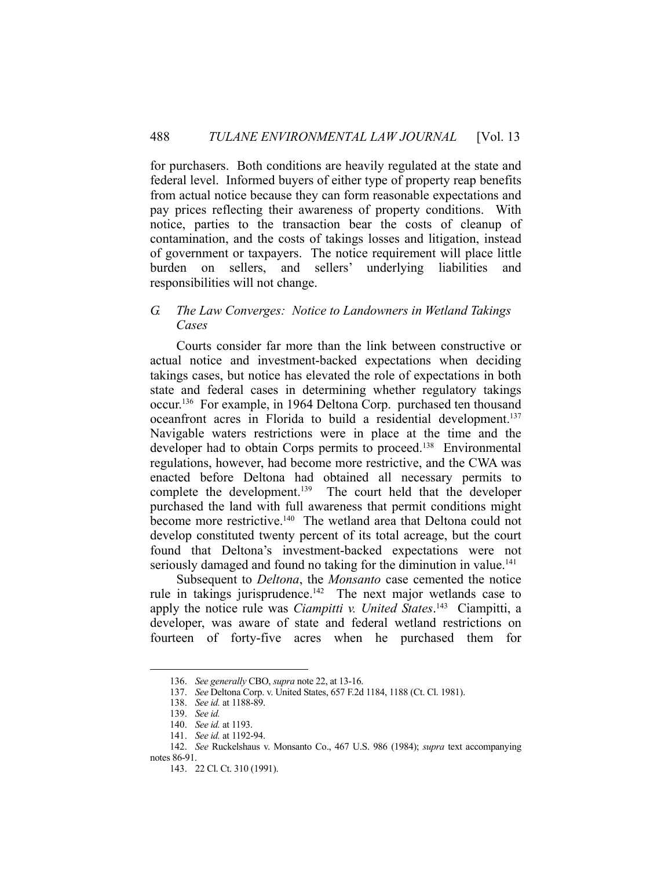for purchasers. Both conditions are heavily regulated at the state and federal level. Informed buyers of either type of property reap benefits from actual notice because they can form reasonable expectations and pay prices reflecting their awareness of property conditions. With notice, parties to the transaction bear the costs of cleanup of contamination, and the costs of takings losses and litigation, instead of government or taxpayers. The notice requirement will place little burden on sellers, and sellers' underlying liabilities and responsibilities will not change.

# *G. The Law Converges: Notice to Landowners in Wetland Takings Cases*

 Courts consider far more than the link between constructive or actual notice and investment-backed expectations when deciding takings cases, but notice has elevated the role of expectations in both state and federal cases in determining whether regulatory takings occur.136 For example, in 1964 Deltona Corp. purchased ten thousand oceanfront acres in Florida to build a residential development.<sup>137</sup> Navigable waters restrictions were in place at the time and the developer had to obtain Corps permits to proceed.<sup>138</sup> Environmental regulations, however, had become more restrictive, and the CWA was enacted before Deltona had obtained all necessary permits to complete the development.<sup>139</sup> The court held that the developer purchased the land with full awareness that permit conditions might become more restrictive.<sup>140</sup> The wetland area that Deltona could not develop constituted twenty percent of its total acreage, but the court found that Deltona's investment-backed expectations were not seriously damaged and found no taking for the diminution in value.<sup>141</sup>

 Subsequent to *Deltona*, the *Monsanto* case cemented the notice rule in takings jurisprudence.<sup>142</sup> The next major wetlands case to apply the notice rule was *Ciampitti v. United States*. 143 Ciampitti, a developer, was aware of state and federal wetland restrictions on fourteen of forty-five acres when he purchased them for

 <sup>136.</sup> *See generally* CBO, *supra* note 22, at 13-16.

 <sup>137.</sup> *See* Deltona Corp. v. United States, 657 F.2d 1184, 1188 (Ct. Cl. 1981).

 <sup>138.</sup> *See id.* at 1188-89.

 <sup>139.</sup> *See id.*

 <sup>140.</sup> *See id.* at 1193.

 <sup>141.</sup> *See id.* at 1192-94.

 <sup>142.</sup> *See* Ruckelshaus v. Monsanto Co., 467 U.S. 986 (1984); *supra* text accompanying notes 86-91.

 <sup>143. 22</sup> Cl. Ct. 310 (1991).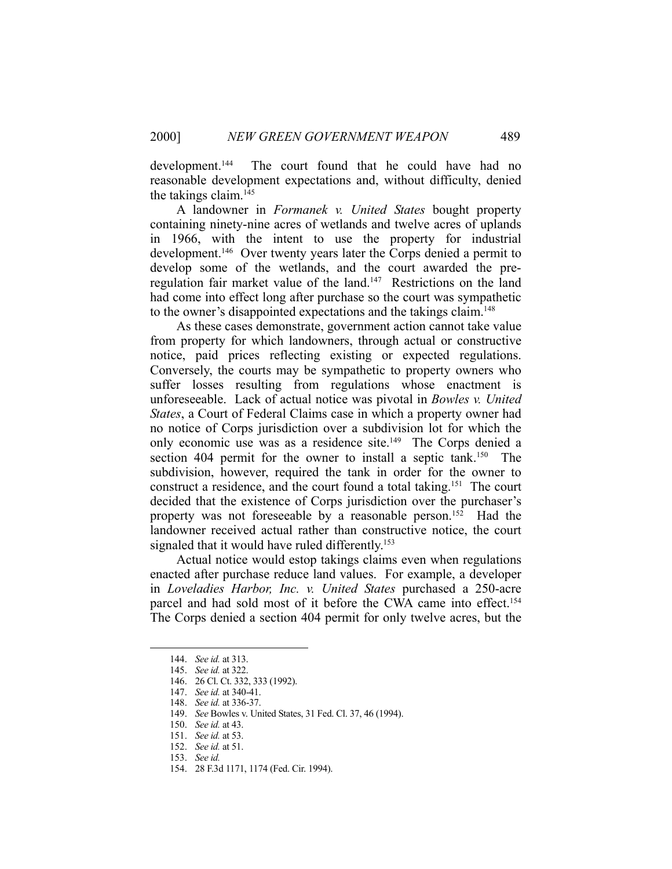development.144 The court found that he could have had no reasonable development expectations and, without difficulty, denied the takings claim.145

 A landowner in *Formanek v. United States* bought property containing ninety-nine acres of wetlands and twelve acres of uplands in 1966, with the intent to use the property for industrial development.<sup>146</sup> Over twenty years later the Corps denied a permit to develop some of the wetlands, and the court awarded the preregulation fair market value of the land.<sup>147</sup> Restrictions on the land had come into effect long after purchase so the court was sympathetic to the owner's disappointed expectations and the takings claim.148

 As these cases demonstrate, government action cannot take value from property for which landowners, through actual or constructive notice, paid prices reflecting existing or expected regulations. Conversely, the courts may be sympathetic to property owners who suffer losses resulting from regulations whose enactment is unforeseeable. Lack of actual notice was pivotal in *Bowles v. United States*, a Court of Federal Claims case in which a property owner had no notice of Corps jurisdiction over a subdivision lot for which the only economic use was as a residence site.<sup>149</sup> The Corps denied a section 404 permit for the owner to install a septic tank.<sup>150</sup> The subdivision, however, required the tank in order for the owner to construct a residence, and the court found a total taking.151 The court decided that the existence of Corps jurisdiction over the purchaser's property was not foreseeable by a reasonable person.<sup>152</sup> Had the landowner received actual rather than constructive notice, the court signaled that it would have ruled differently.<sup>153</sup>

 Actual notice would estop takings claims even when regulations enacted after purchase reduce land values. For example, a developer in *Loveladies Harbor, Inc. v. United States* purchased a 250-acre parcel and had sold most of it before the CWA came into effect.<sup>154</sup> The Corps denied a section 404 permit for only twelve acres, but the

 <sup>144.</sup> *See id.* at 313.

 <sup>145.</sup> *See id.* at 322.

 <sup>146. 26</sup> Cl. Ct. 332, 333 (1992).

 <sup>147.</sup> *See id.* at 340-41.

 <sup>148.</sup> *See id.* at 336-37.

 <sup>149.</sup> *See* Bowles v. United States, 31 Fed. Cl. 37, 46 (1994).

 <sup>150.</sup> *See id.* at 43.

 <sup>151.</sup> *See id.* at 53.

 <sup>152.</sup> *See id.* at 51.

 <sup>153.</sup> *See id.*

 <sup>154. 28</sup> F.3d 1171, 1174 (Fed. Cir. 1994).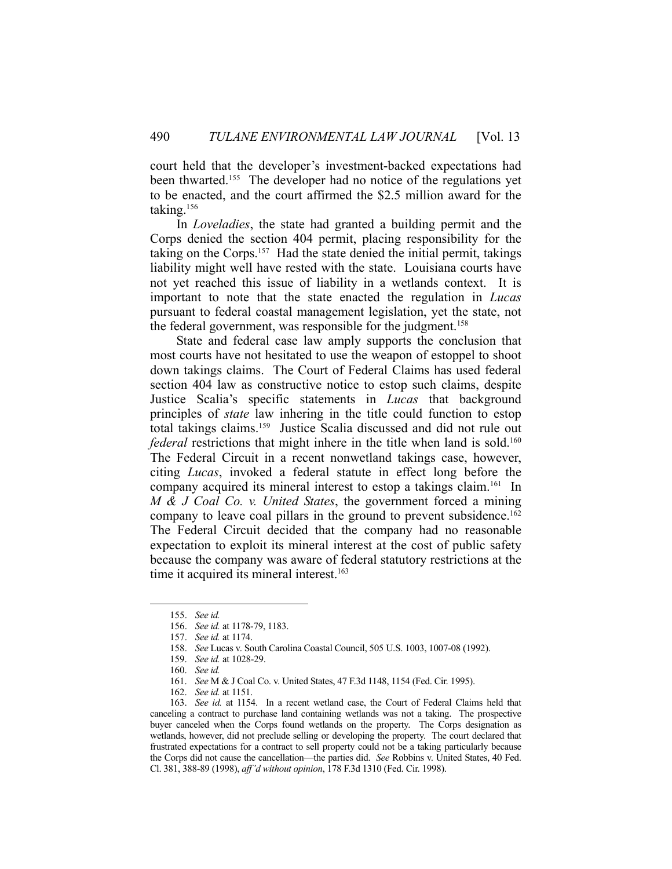court held that the developer's investment-backed expectations had been thwarted.<sup>155</sup> The developer had no notice of the regulations yet to be enacted, and the court affirmed the \$2.5 million award for the taking.156

 In *Loveladies*, the state had granted a building permit and the Corps denied the section 404 permit, placing responsibility for the taking on the Corps.157 Had the state denied the initial permit, takings liability might well have rested with the state. Louisiana courts have not yet reached this issue of liability in a wetlands context. It is important to note that the state enacted the regulation in *Lucas* pursuant to federal coastal management legislation, yet the state, not the federal government, was responsible for the judgment.<sup>158</sup>

 State and federal case law amply supports the conclusion that most courts have not hesitated to use the weapon of estoppel to shoot down takings claims. The Court of Federal Claims has used federal section 404 law as constructive notice to estop such claims, despite Justice Scalia's specific statements in *Lucas* that background principles of *state* law inhering in the title could function to estop total takings claims.159 Justice Scalia discussed and did not rule out *federal* restrictions that might inhere in the title when land is sold.<sup>160</sup> The Federal Circuit in a recent nonwetland takings case, however, citing *Lucas*, invoked a federal statute in effect long before the company acquired its mineral interest to estop a takings claim.<sup>161</sup> In *M & J Coal Co. v. United States*, the government forced a mining company to leave coal pillars in the ground to prevent subsidence.<sup>162</sup> The Federal Circuit decided that the company had no reasonable expectation to exploit its mineral interest at the cost of public safety because the company was aware of federal statutory restrictions at the time it acquired its mineral interest.<sup>163</sup>

 <sup>155.</sup> *See id.*

 <sup>156.</sup> *See id.* at 1178-79, 1183.

 <sup>157.</sup> *See id.* at 1174.

 <sup>158.</sup> *See* Lucas v. South Carolina Coastal Council, 505 U.S. 1003, 1007-08 (1992).

 <sup>159.</sup> *See id.* at 1028-29.

 <sup>160.</sup> *See id.*

 <sup>161.</sup> *See* M & J Coal Co. v. United States, 47 F.3d 1148, 1154 (Fed. Cir. 1995).

 <sup>162.</sup> *See id.* at 1151.

 <sup>163.</sup> *See id.* at 1154. In a recent wetland case, the Court of Federal Claims held that canceling a contract to purchase land containing wetlands was not a taking. The prospective buyer canceled when the Corps found wetlands on the property. The Corps designation as wetlands, however, did not preclude selling or developing the property. The court declared that frustrated expectations for a contract to sell property could not be a taking particularly because the Corps did not cause the cancellation—the parties did. *See* Robbins v. United States, 40 Fed. Cl. 381, 388-89 (1998), *aff'd without opinion*, 178 F.3d 1310 (Fed. Cir. 1998).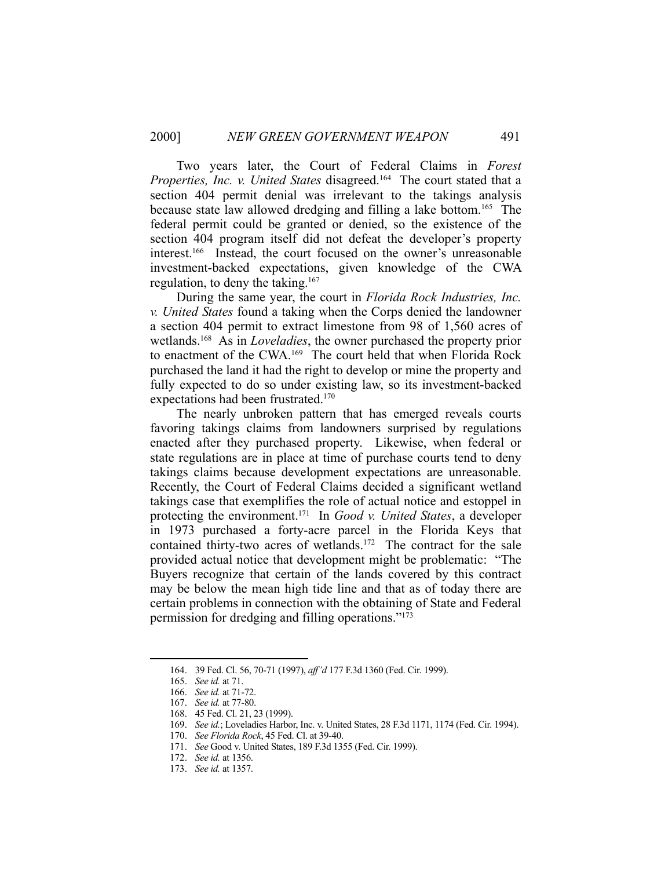Two years later, the Court of Federal Claims in *Forest Properties, Inc. v. United States disagreed.*<sup>164</sup> The court stated that a section 404 permit denial was irrelevant to the takings analysis because state law allowed dredging and filling a lake bottom.165 The federal permit could be granted or denied, so the existence of the section 404 program itself did not defeat the developer's property interest.166 Instead, the court focused on the owner's unreasonable investment-backed expectations, given knowledge of the CWA regulation, to deny the taking.<sup>167</sup>

 During the same year, the court in *Florida Rock Industries, Inc. v. United States* found a taking when the Corps denied the landowner a section 404 permit to extract limestone from 98 of 1,560 acres of wetlands.168 As in *Loveladies*, the owner purchased the property prior to enactment of the CWA.169 The court held that when Florida Rock purchased the land it had the right to develop or mine the property and fully expected to do so under existing law, so its investment-backed expectations had been frustrated.170

 The nearly unbroken pattern that has emerged reveals courts favoring takings claims from landowners surprised by regulations enacted after they purchased property. Likewise, when federal or state regulations are in place at time of purchase courts tend to deny takings claims because development expectations are unreasonable. Recently, the Court of Federal Claims decided a significant wetland takings case that exemplifies the role of actual notice and estoppel in protecting the environment.171 In *Good v. United States*, a developer in 1973 purchased a forty-acre parcel in the Florida Keys that contained thirty-two acres of wetlands.<sup>172</sup> The contract for the sale provided actual notice that development might be problematic: "The Buyers recognize that certain of the lands covered by this contract may be below the mean high tide line and that as of today there are certain problems in connection with the obtaining of State and Federal permission for dredging and filling operations."173

 <sup>164. 39</sup> Fed. Cl. 56, 70-71 (1997), *aff'd* 177 F.3d 1360 (Fed. Cir. 1999).

 <sup>165.</sup> *See id.* at 71.

 <sup>166.</sup> *See id.* at 71-72.

 <sup>167.</sup> *See id.* at 77-80.

 <sup>168. 45</sup> Fed. Cl. 21, 23 (1999).

 <sup>169.</sup> *See id.*; Loveladies Harbor, Inc. v. United States, 28 F.3d 1171, 1174 (Fed. Cir. 1994).

 <sup>170.</sup> *See Florida Rock*, 45 Fed. Cl. at 39-40.

 <sup>171.</sup> *See* Good v. United States, 189 F.3d 1355 (Fed. Cir. 1999).

 <sup>172.</sup> *See id.* at 1356.

 <sup>173.</sup> *See id.* at 1357.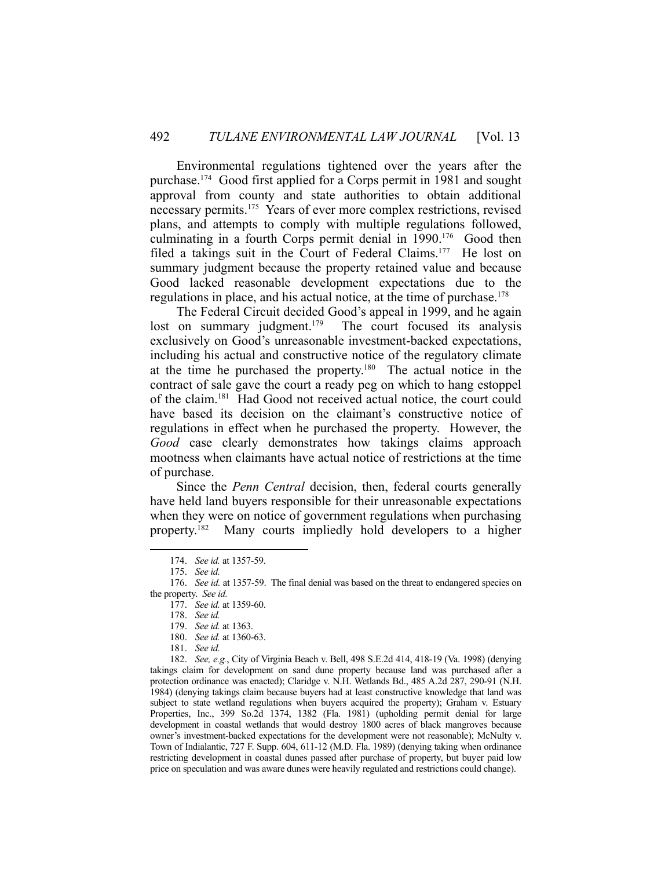Environmental regulations tightened over the years after the purchase.174 Good first applied for a Corps permit in 1981 and sought approval from county and state authorities to obtain additional necessary permits.175 Years of ever more complex restrictions, revised plans, and attempts to comply with multiple regulations followed, culminating in a fourth Corps permit denial in 1990.<sup>176</sup> Good then filed a takings suit in the Court of Federal Claims.<sup>177</sup> He lost on summary judgment because the property retained value and because Good lacked reasonable development expectations due to the regulations in place, and his actual notice, at the time of purchase.178

 The Federal Circuit decided Good's appeal in 1999, and he again lost on summary judgment.<sup>179</sup> The court focused its analysis exclusively on Good's unreasonable investment-backed expectations, including his actual and constructive notice of the regulatory climate at the time he purchased the property.180 The actual notice in the contract of sale gave the court a ready peg on which to hang estoppel of the claim.181 Had Good not received actual notice, the court could have based its decision on the claimant's constructive notice of regulations in effect when he purchased the property. However, the *Good* case clearly demonstrates how takings claims approach mootness when claimants have actual notice of restrictions at the time of purchase.

 Since the *Penn Central* decision, then, federal courts generally have held land buyers responsible for their unreasonable expectations when they were on notice of government regulations when purchasing property.182 Many courts impliedly hold developers to a higher

1

 182. *See, e.g.*, City of Virginia Beach v. Bell, 498 S.E.2d 414, 418-19 (Va. 1998) (denying takings claim for development on sand dune property because land was purchased after a protection ordinance was enacted); Claridge v. N.H. Wetlands Bd., 485 A.2d 287, 290-91 (N.H. 1984) (denying takings claim because buyers had at least constructive knowledge that land was subject to state wetland regulations when buyers acquired the property); Graham v. Estuary Properties, Inc., 399 So.2d 1374, 1382 (Fla. 1981) (upholding permit denial for large development in coastal wetlands that would destroy 1800 acres of black mangroves because owner's investment-backed expectations for the development were not reasonable); McNulty v. Town of Indialantic, 727 F. Supp. 604, 611-12 (M.D. Fla. 1989) (denying taking when ordinance restricting development in coastal dunes passed after purchase of property, but buyer paid low price on speculation and was aware dunes were heavily regulated and restrictions could change).

 <sup>174.</sup> *See id.* at 1357-59.

 <sup>175.</sup> *See id.*

 <sup>176.</sup> *See id.* at 1357-59. The final denial was based on the threat to endangered species on the property. *See id.*

 <sup>177.</sup> *See id.* at 1359-60.

 <sup>178.</sup> *See id.*

 <sup>179.</sup> *See id.* at 1363.

 <sup>180.</sup> *See id.* at 1360-63.

 <sup>181.</sup> *See id.*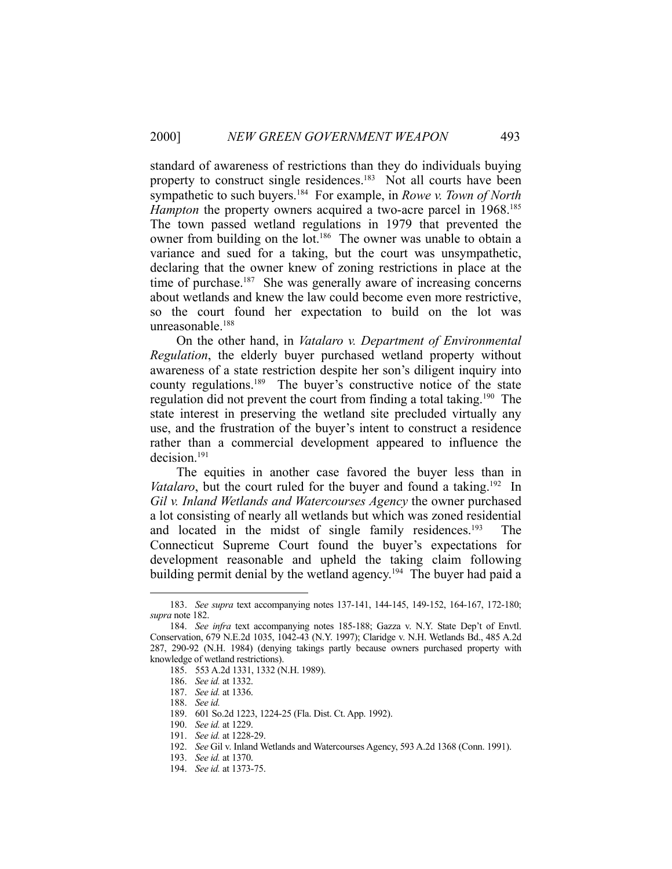standard of awareness of restrictions than they do individuals buying property to construct single residences.<sup>183</sup> Not all courts have been sympathetic to such buyers.184 For example, in *Rowe v. Town of North Hampton* the property owners acquired a two-acre parcel in 1968.<sup>185</sup> The town passed wetland regulations in 1979 that prevented the owner from building on the lot.<sup>186</sup> The owner was unable to obtain a variance and sued for a taking, but the court was unsympathetic, declaring that the owner knew of zoning restrictions in place at the time of purchase.<sup>187</sup> She was generally aware of increasing concerns about wetlands and knew the law could become even more restrictive, so the court found her expectation to build on the lot was unreasonable.188

 On the other hand, in *Vatalaro v. Department of Environmental Regulation*, the elderly buyer purchased wetland property without awareness of a state restriction despite her son's diligent inquiry into county regulations.<sup>189</sup> The buyer's constructive notice of the state regulation did not prevent the court from finding a total taking.<sup>190</sup> The state interest in preserving the wetland site precluded virtually any use, and the frustration of the buyer's intent to construct a residence rather than a commercial development appeared to influence the decision.191

 The equities in another case favored the buyer less than in *Vatalaro*, but the court ruled for the buyer and found a taking.<sup>192</sup> In *Gil v. Inland Wetlands and Watercourses Agency* the owner purchased a lot consisting of nearly all wetlands but which was zoned residential and located in the midst of single family residences.<sup>193</sup> The Connecticut Supreme Court found the buyer's expectations for development reasonable and upheld the taking claim following building permit denial by the wetland agency.<sup>194</sup> The buyer had paid a

 <sup>183.</sup> *See supra* text accompanying notes 137-141, 144-145, 149-152, 164-167, 172-180; *supra* note 182.

 <sup>184.</sup> *See infra* text accompanying notes 185-188; Gazza v. N.Y. State Dep't of Envtl. Conservation, 679 N.E.2d 1035, 1042-43 (N.Y. 1997); Claridge v. N.H. Wetlands Bd., 485 A.2d 287, 290-92 (N.H. 1984) (denying takings partly because owners purchased property with knowledge of wetland restrictions).

 <sup>185. 553</sup> A.2d 1331, 1332 (N.H. 1989).

 <sup>186.</sup> *See id.* at 1332.

 <sup>187.</sup> *See id.* at 1336.

 <sup>188.</sup> *See id.*

 <sup>189. 601</sup> So.2d 1223, 1224-25 (Fla. Dist. Ct. App. 1992).

 <sup>190.</sup> *See id.* at 1229.

 <sup>191.</sup> *See id.* at 1228-29.

 <sup>192.</sup> *See* Gil v. Inland Wetlands and Watercourses Agency, 593 A.2d 1368 (Conn. 1991).

 <sup>193.</sup> *See id.* at 1370.

 <sup>194.</sup> *See id.* at 1373-75.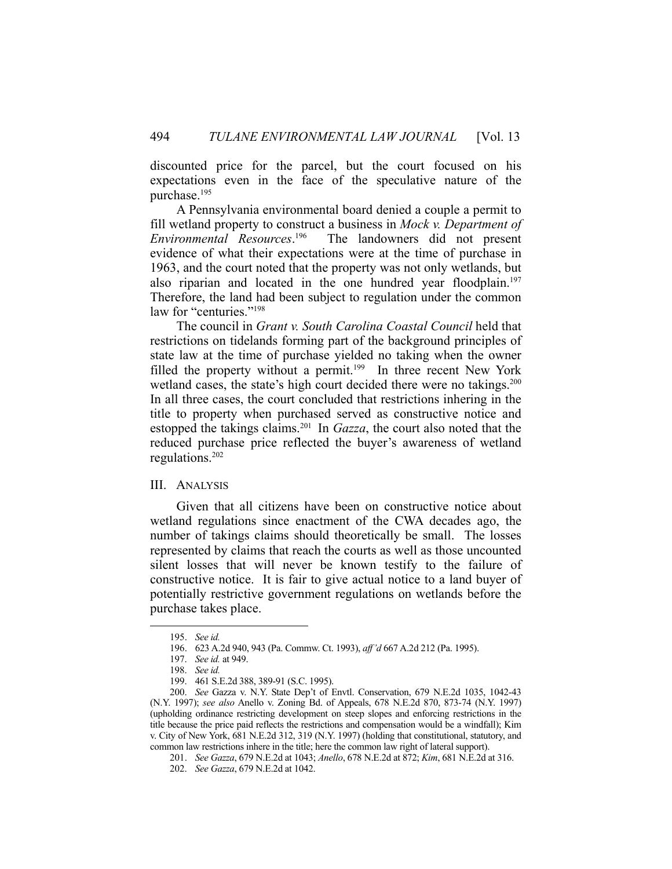discounted price for the parcel, but the court focused on his expectations even in the face of the speculative nature of the purchase.195

 A Pennsylvania environmental board denied a couple a permit to fill wetland property to construct a business in *Mock v. Department of Environmental Resources*. The landowners did not present evidence of what their expectations were at the time of purchase in 1963, and the court noted that the property was not only wetlands, but also riparian and located in the one hundred year floodplain.<sup>197</sup> Therefore, the land had been subject to regulation under the common law for "centuries."<sup>198</sup>

 The council in *Grant v. South Carolina Coastal Council* held that restrictions on tidelands forming part of the background principles of state law at the time of purchase yielded no taking when the owner filled the property without a permit.<sup>199</sup> In three recent New York wetland cases, the state's high court decided there were no takings.<sup>200</sup> In all three cases, the court concluded that restrictions inhering in the title to property when purchased served as constructive notice and estopped the takings claims.201 In *Gazza*, the court also noted that the reduced purchase price reflected the buyer's awareness of wetland regulations.202

#### III. ANALYSIS

 Given that all citizens have been on constructive notice about wetland regulations since enactment of the CWA decades ago, the number of takings claims should theoretically be small. The losses represented by claims that reach the courts as well as those uncounted silent losses that will never be known testify to the failure of constructive notice. It is fair to give actual notice to a land buyer of potentially restrictive government regulations on wetlands before the purchase takes place.

 <sup>195.</sup> *See id.*

 <sup>196. 623</sup> A.2d 940, 943 (Pa. Commw. Ct. 1993), *aff'd* 667 A.2d 212 (Pa. 1995).

 <sup>197.</sup> *See id.* at 949.

 <sup>198.</sup> *See id.*

 <sup>199. 461</sup> S.E.2d 388, 389-91 (S.C. 1995).

 <sup>200.</sup> *See* Gazza v. N.Y. State Dep't of Envtl. Conservation, 679 N.E.2d 1035, 1042-43 (N.Y. 1997); *see also* Anello v. Zoning Bd. of Appeals, 678 N.E.2d 870, 873-74 (N.Y. 1997) (upholding ordinance restricting development on steep slopes and enforcing restrictions in the title because the price paid reflects the restrictions and compensation would be a windfall); Kim v. City of New York, 681 N.E.2d 312, 319 (N.Y. 1997) (holding that constitutional, statutory, and common law restrictions inhere in the title; here the common law right of lateral support).

 <sup>201.</sup> *See Gazza*, 679 N.E.2d at 1043; *Anello*, 678 N.E.2d at 872; *Kim*, 681 N.E.2d at 316.

 <sup>202.</sup> *See Gazza*, 679 N.E.2d at 1042.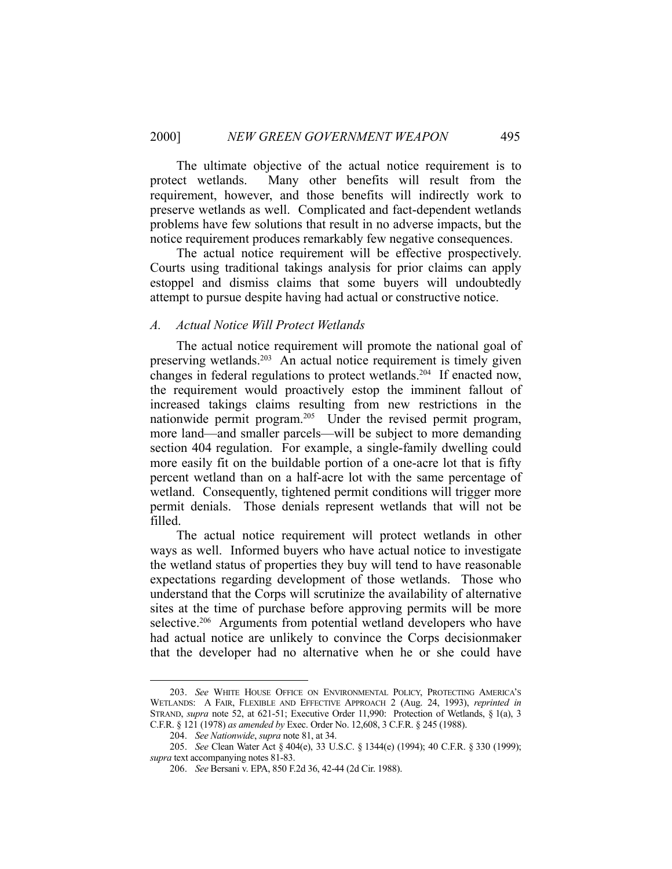The ultimate objective of the actual notice requirement is to protect wetlands. Many other benefits will result from the requirement, however, and those benefits will indirectly work to preserve wetlands as well. Complicated and fact-dependent wetlands problems have few solutions that result in no adverse impacts, but the notice requirement produces remarkably few negative consequences.

 The actual notice requirement will be effective prospectively. Courts using traditional takings analysis for prior claims can apply estoppel and dismiss claims that some buyers will undoubtedly attempt to pursue despite having had actual or constructive notice.

#### *A. Actual Notice Will Protect Wetlands*

 The actual notice requirement will promote the national goal of preserving wetlands.<sup>203</sup> An actual notice requirement is timely given changes in federal regulations to protect wetlands.204 If enacted now, the requirement would proactively estop the imminent fallout of increased takings claims resulting from new restrictions in the nationwide permit program.<sup>205</sup> Under the revised permit program, more land—and smaller parcels—will be subject to more demanding section 404 regulation. For example, a single-family dwelling could more easily fit on the buildable portion of a one-acre lot that is fifty percent wetland than on a half-acre lot with the same percentage of wetland. Consequently, tightened permit conditions will trigger more permit denials. Those denials represent wetlands that will not be filled.

 The actual notice requirement will protect wetlands in other ways as well. Informed buyers who have actual notice to investigate the wetland status of properties they buy will tend to have reasonable expectations regarding development of those wetlands. Those who understand that the Corps will scrutinize the availability of alternative sites at the time of purchase before approving permits will be more selective.<sup>206</sup> Arguments from potential wetland developers who have had actual notice are unlikely to convince the Corps decisionmaker that the developer had no alternative when he or she could have

 <sup>203.</sup> *See* WHITE HOUSE OFFICE ON ENVIRONMENTAL POLICY, PROTECTING AMERICA'S WETLANDS: A FAIR, FLEXIBLE AND EFFECTIVE APPROACH 2 (Aug. 24, 1993), *reprinted in* STRAND, *supra* note 52, at 621-51; Executive Order 11,990: Protection of Wetlands, § 1(a), 3 C.F.R. § 121 (1978) *as amended by* Exec. Order No. 12,608, 3 C.F.R. § 245 (1988).

 <sup>204.</sup> *See Nationwide*, *supra* note 81, at 34.

 <sup>205.</sup> *See* Clean Water Act § 404(e), 33 U.S.C. § 1344(e) (1994); 40 C.F.R. § 330 (1999); *supra* text accompanying notes 81-83.

 <sup>206.</sup> *See* Bersani v. EPA, 850 F.2d 36, 42-44 (2d Cir. 1988).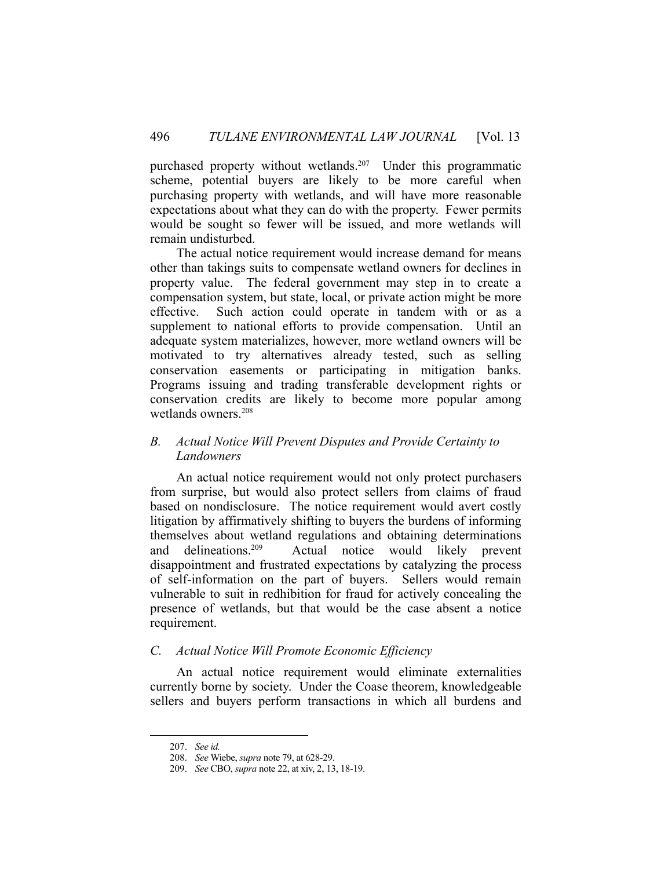purchased property without wetlands.<sup>207</sup> Under this programmatic scheme, potential buyers are likely to be more careful when purchasing property with wetlands, and will have more reasonable expectations about what they can do with the property. Fewer permits would be sought so fewer will be issued, and more wetlands will remain undisturbed.

 The actual notice requirement would increase demand for means other than takings suits to compensate wetland owners for declines in property value. The federal government may step in to create a compensation system, but state, local, or private action might be more effective. Such action could operate in tandem with or as a supplement to national efforts to provide compensation. Until an adequate system materializes, however, more wetland owners will be motivated to try alternatives already tested, such as selling conservation easements or participating in mitigation banks. Programs issuing and trading transferable development rights or conservation credits are likely to become more popular among wetlands owners.208

# *B. Actual Notice Will Prevent Disputes and Provide Certainty to Landowners*

 An actual notice requirement would not only protect purchasers from surprise, but would also protect sellers from claims of fraud based on nondisclosure. The notice requirement would avert costly litigation by affirmatively shifting to buyers the burdens of informing themselves about wetland regulations and obtaining determinations and delineations.<sup>209</sup> Actual notice would likely prevent and delineations.209 Actual notice would likely prevent disappointment and frustrated expectations by catalyzing the process of self-information on the part of buyers. Sellers would remain vulnerable to suit in redhibition for fraud for actively concealing the presence of wetlands, but that would be the case absent a notice requirement.

# *C. Actual Notice Will Promote Economic Efficiency*

 An actual notice requirement would eliminate externalities currently borne by society. Under the Coase theorem, knowledgeable sellers and buyers perform transactions in which all burdens and

 <sup>207.</sup> *See id.*

 <sup>208.</sup> *See* Wiebe, *supra* note 79, at 628-29.

 <sup>209.</sup> *See* CBO, *supra* note 22, at xiv, 2, 13, 18-19.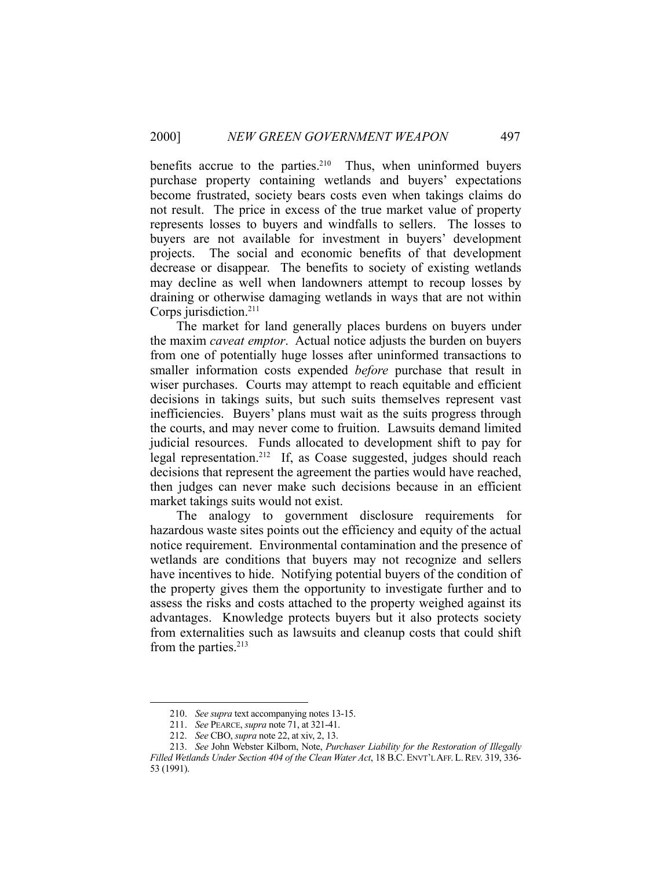benefits accrue to the parties.<sup>210</sup> Thus, when uninformed buyers purchase property containing wetlands and buyers' expectations become frustrated, society bears costs even when takings claims do not result. The price in excess of the true market value of property represents losses to buyers and windfalls to sellers. The losses to buyers are not available for investment in buyers' development projects. The social and economic benefits of that development decrease or disappear. The benefits to society of existing wetlands may decline as well when landowners attempt to recoup losses by draining or otherwise damaging wetlands in ways that are not within Corps jurisdiction.211

 The market for land generally places burdens on buyers under the maxim *caveat emptor*. Actual notice adjusts the burden on buyers from one of potentially huge losses after uninformed transactions to smaller information costs expended *before* purchase that result in wiser purchases. Courts may attempt to reach equitable and efficient decisions in takings suits, but such suits themselves represent vast inefficiencies. Buyers' plans must wait as the suits progress through the courts, and may never come to fruition. Lawsuits demand limited judicial resources. Funds allocated to development shift to pay for legal representation.212 If, as Coase suggested, judges should reach decisions that represent the agreement the parties would have reached, then judges can never make such decisions because in an efficient market takings suits would not exist.

 The analogy to government disclosure requirements for hazardous waste sites points out the efficiency and equity of the actual notice requirement. Environmental contamination and the presence of wetlands are conditions that buyers may not recognize and sellers have incentives to hide. Notifying potential buyers of the condition of the property gives them the opportunity to investigate further and to assess the risks and costs attached to the property weighed against its advantages. Knowledge protects buyers but it also protects society from externalities such as lawsuits and cleanup costs that could shift from the parties.<sup>213</sup>

 <sup>210.</sup> *See supra* text accompanying notes 13-15.

 <sup>211.</sup> *See* PEARCE, *supra* note 71, at 321-41.

 <sup>212.</sup> *See* CBO, *supra* note 22, at xiv, 2, 13.

 <sup>213.</sup> *See* John Webster Kilborn, Note, *Purchaser Liability for the Restoration of Illegally Filled Wetlands Under Section 404 of the Clean Water Act*, 18 B.C. ENVT'L AFF. L.REV. 319, 336- 53 (1991).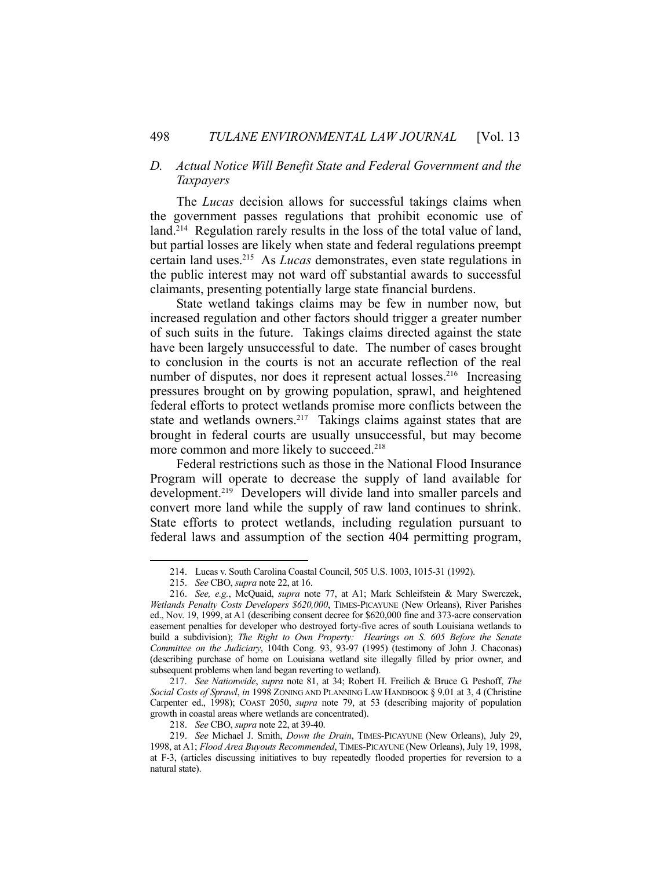# *D. Actual Notice Will Benefit State and Federal Government and the Taxpayers*

 The *Lucas* decision allows for successful takings claims when the government passes regulations that prohibit economic use of land.<sup>214</sup> Regulation rarely results in the loss of the total value of land, but partial losses are likely when state and federal regulations preempt certain land uses.215 As *Lucas* demonstrates, even state regulations in the public interest may not ward off substantial awards to successful claimants, presenting potentially large state financial burdens.

 State wetland takings claims may be few in number now, but increased regulation and other factors should trigger a greater number of such suits in the future. Takings claims directed against the state have been largely unsuccessful to date. The number of cases brought to conclusion in the courts is not an accurate reflection of the real number of disputes, nor does it represent actual losses.<sup>216</sup> Increasing pressures brought on by growing population, sprawl, and heightened federal efforts to protect wetlands promise more conflicts between the state and wetlands owners.<sup>217</sup> Takings claims against states that are brought in federal courts are usually unsuccessful, but may become more common and more likely to succeed.<sup>218</sup>

 Federal restrictions such as those in the National Flood Insurance Program will operate to decrease the supply of land available for development.<sup>219</sup> Developers will divide land into smaller parcels and convert more land while the supply of raw land continues to shrink. State efforts to protect wetlands, including regulation pursuant to federal laws and assumption of the section 404 permitting program,

 <sup>214.</sup> Lucas v. South Carolina Coastal Council, 505 U.S. 1003, 1015-31 (1992).

 <sup>215.</sup> *See* CBO, *supra* note 22, at 16.

 <sup>216.</sup> *See, e.g.*, McQuaid, *supra* note 77, at A1; Mark Schleifstein & Mary Swerczek, *Wetlands Penalty Costs Developers \$620,000*, TIMES-PICAYUNE (New Orleans), River Parishes ed., Nov. 19, 1999, at A1 (describing consent decree for \$620,000 fine and 373-acre conservation easement penalties for developer who destroyed forty-five acres of south Louisiana wetlands to build a subdivision); *The Right to Own Property: Hearings on S. 605 Before the Senate Committee on the Judiciary*, 104th Cong. 93, 93-97 (1995) (testimony of John J. Chaconas) (describing purchase of home on Louisiana wetland site illegally filled by prior owner, and subsequent problems when land began reverting to wetland).

 <sup>217.</sup> *See Nationwide*, *supra* note 81, at 34; Robert H. Freilich & Bruce G. Peshoff, *The Social Costs of Sprawl*, *in* 1998 ZONING AND PLANNING LAW HANDBOOK § 9.01 at 3, 4 (Christine Carpenter ed., 1998); COAST 2050, *supra* note 79, at 53 (describing majority of population growth in coastal areas where wetlands are concentrated).

 <sup>218.</sup> *See* CBO, *supra* note 22, at 39-40.

 <sup>219.</sup> *See* Michael J. Smith, *Down the Drain*, TIMES-PICAYUNE (New Orleans), July 29, 1998, at A1; *Flood Area Buyouts Recommended*, TIMES-PICAYUNE (New Orleans), July 19, 1998, at F-3, (articles discussing initiatives to buy repeatedly flooded properties for reversion to a natural state).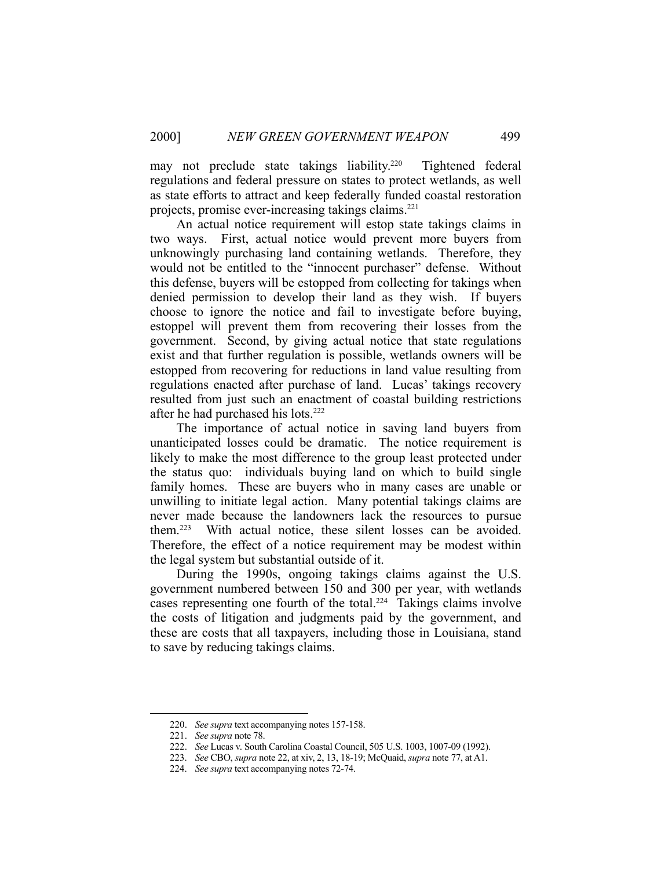may not preclude state takings liability.<sup>220</sup> Tightened federal regulations and federal pressure on states to protect wetlands, as well as state efforts to attract and keep federally funded coastal restoration projects, promise ever-increasing takings claims.221

 An actual notice requirement will estop state takings claims in two ways. First, actual notice would prevent more buyers from unknowingly purchasing land containing wetlands. Therefore, they would not be entitled to the "innocent purchaser" defense. Without this defense, buyers will be estopped from collecting for takings when denied permission to develop their land as they wish. If buyers choose to ignore the notice and fail to investigate before buying, estoppel will prevent them from recovering their losses from the government. Second, by giving actual notice that state regulations exist and that further regulation is possible, wetlands owners will be estopped from recovering for reductions in land value resulting from regulations enacted after purchase of land. Lucas' takings recovery resulted from just such an enactment of coastal building restrictions after he had purchased his lots.222

 The importance of actual notice in saving land buyers from unanticipated losses could be dramatic. The notice requirement is likely to make the most difference to the group least protected under the status quo: individuals buying land on which to build single family homes. These are buyers who in many cases are unable or unwilling to initiate legal action. Many potential takings claims are never made because the landowners lack the resources to pursue them.223 With actual notice, these silent losses can be avoided. Therefore, the effect of a notice requirement may be modest within the legal system but substantial outside of it.

During the 1990s, ongoing takings claims against the U.S. government numbered between 150 and 300 per year, with wetlands cases representing one fourth of the total.<sup>224</sup> Takings claims involve the costs of litigation and judgments paid by the government, and these are costs that all taxpayers, including those in Louisiana, stand to save by reducing takings claims.

 <sup>220.</sup> *See supra* text accompanying notes 157-158.

 <sup>221.</sup> *See supra* note 78.

 <sup>222.</sup> *See* Lucas v. South Carolina Coastal Council, 505 U.S. 1003, 1007-09 (1992).

 <sup>223.</sup> *See* CBO, *supra* note 22, at xiv, 2, 13, 18-19; McQuaid, *supra* note 77, at A1.

 <sup>224.</sup> *See supra* text accompanying notes 72-74.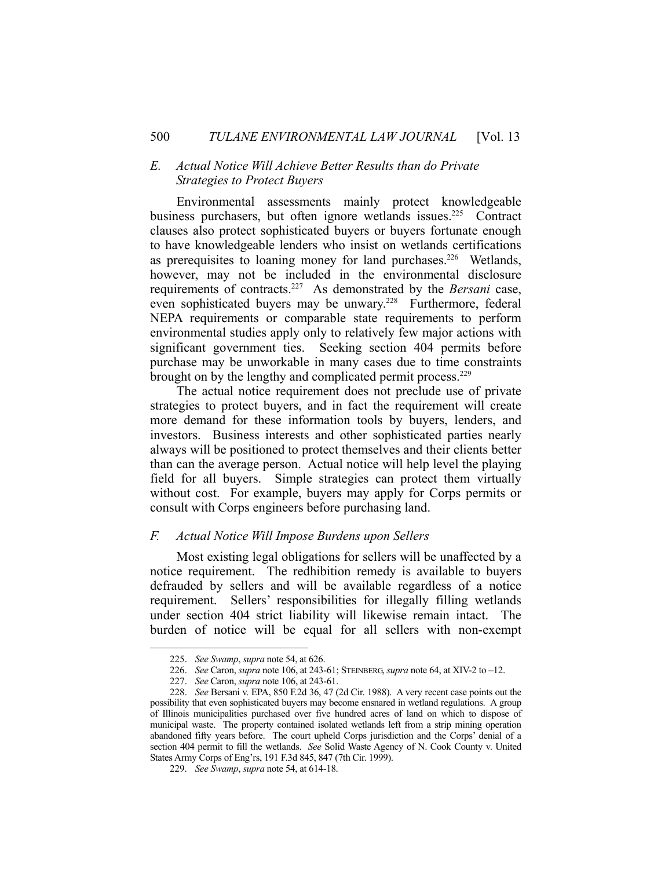# *E. Actual Notice Will Achieve Better Results than do Private Strategies to Protect Buyers*

 Environmental assessments mainly protect knowledgeable business purchasers, but often ignore wetlands issues.<sup>225</sup> Contract clauses also protect sophisticated buyers or buyers fortunate enough to have knowledgeable lenders who insist on wetlands certifications as prerequisites to loaning money for land purchases.226 Wetlands, however, may not be included in the environmental disclosure requirements of contracts.227 As demonstrated by the *Bersani* case, even sophisticated buyers may be unwary.<sup>228</sup> Furthermore, federal NEPA requirements or comparable state requirements to perform environmental studies apply only to relatively few major actions with significant government ties. Seeking section 404 permits before purchase may be unworkable in many cases due to time constraints brought on by the lengthy and complicated permit process.<sup>229</sup>

 The actual notice requirement does not preclude use of private strategies to protect buyers, and in fact the requirement will create more demand for these information tools by buyers, lenders, and investors. Business interests and other sophisticated parties nearly always will be positioned to protect themselves and their clients better than can the average person. Actual notice will help level the playing field for all buyers. Simple strategies can protect them virtually without cost. For example, buyers may apply for Corps permits or consult with Corps engineers before purchasing land.

#### *F. Actual Notice Will Impose Burdens upon Sellers*

 Most existing legal obligations for sellers will be unaffected by a notice requirement. The redhibition remedy is available to buyers defrauded by sellers and will be available regardless of a notice requirement. Sellers' responsibilities for illegally filling wetlands under section 404 strict liability will likewise remain intact. The burden of notice will be equal for all sellers with non-exempt

 <sup>225.</sup> *See Swamp*, *supra* note 54, at 626.

 <sup>226.</sup> *See* Caron, *supra* note 106, at 243-61; STEINBERG, *supra* note 64, at XIV-2 to –12.

 <sup>227.</sup> *See* Caron, *supra* note 106, at 243-61.

 <sup>228.</sup> *See* Bersani v. EPA, 850 F.2d 36, 47 (2d Cir. 1988). A very recent case points out the possibility that even sophisticated buyers may become ensnared in wetland regulations. A group of Illinois municipalities purchased over five hundred acres of land on which to dispose of municipal waste. The property contained isolated wetlands left from a strip mining operation abandoned fifty years before. The court upheld Corps jurisdiction and the Corps' denial of a section 404 permit to fill the wetlands. *See* Solid Waste Agency of N. Cook County v. United States Army Corps of Eng'rs, 191 F.3d 845, 847 (7th Cir. 1999).

 <sup>229.</sup> *See Swamp*, *supra* note 54, at 614-18.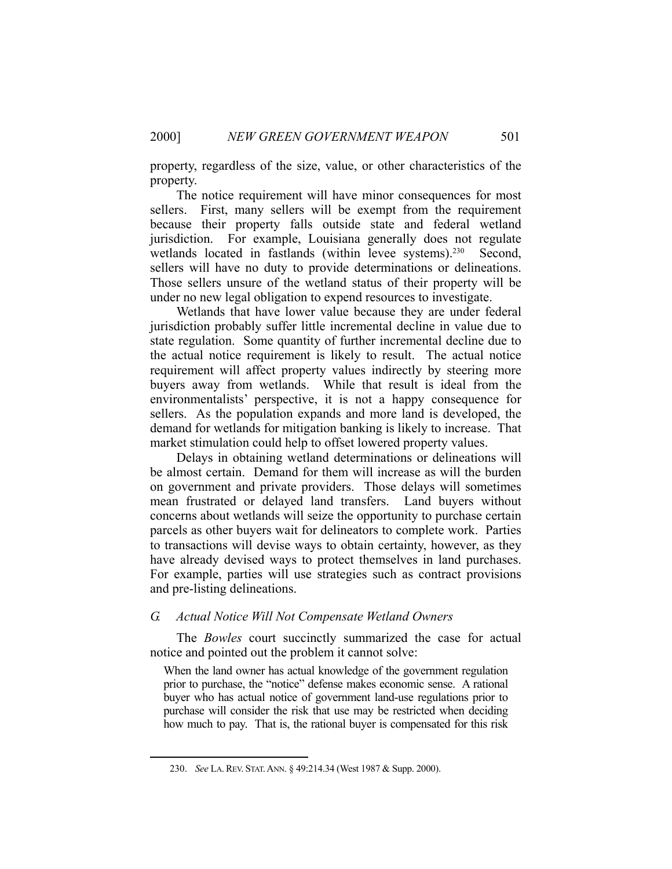property, regardless of the size, value, or other characteristics of the property.

 The notice requirement will have minor consequences for most sellers. First, many sellers will be exempt from the requirement because their property falls outside state and federal wetland jurisdiction. For example, Louisiana generally does not regulate wetlands located in fastlands (within levee systems).<sup>230</sup> Second, sellers will have no duty to provide determinations or delineations. Those sellers unsure of the wetland status of their property will be under no new legal obligation to expend resources to investigate.

 Wetlands that have lower value because they are under federal jurisdiction probably suffer little incremental decline in value due to state regulation. Some quantity of further incremental decline due to the actual notice requirement is likely to result. The actual notice requirement will affect property values indirectly by steering more buyers away from wetlands. While that result is ideal from the environmentalists' perspective, it is not a happy consequence for sellers. As the population expands and more land is developed, the demand for wetlands for mitigation banking is likely to increase. That market stimulation could help to offset lowered property values.

 Delays in obtaining wetland determinations or delineations will be almost certain. Demand for them will increase as will the burden on government and private providers. Those delays will sometimes mean frustrated or delayed land transfers. Land buyers without concerns about wetlands will seize the opportunity to purchase certain parcels as other buyers wait for delineators to complete work. Parties to transactions will devise ways to obtain certainty, however, as they have already devised ways to protect themselves in land purchases. For example, parties will use strategies such as contract provisions and pre-listing delineations.

#### *G. Actual Notice Will Not Compensate Wetland Owners*

 The *Bowles* court succinctly summarized the case for actual notice and pointed out the problem it cannot solve:

When the land owner has actual knowledge of the government regulation prior to purchase, the "notice" defense makes economic sense. A rational buyer who has actual notice of government land-use regulations prior to purchase will consider the risk that use may be restricted when deciding how much to pay. That is, the rational buyer is compensated for this risk

 <sup>230.</sup> *See* LA.REV. STAT.ANN. § 49:214.34 (West 1987 & Supp. 2000).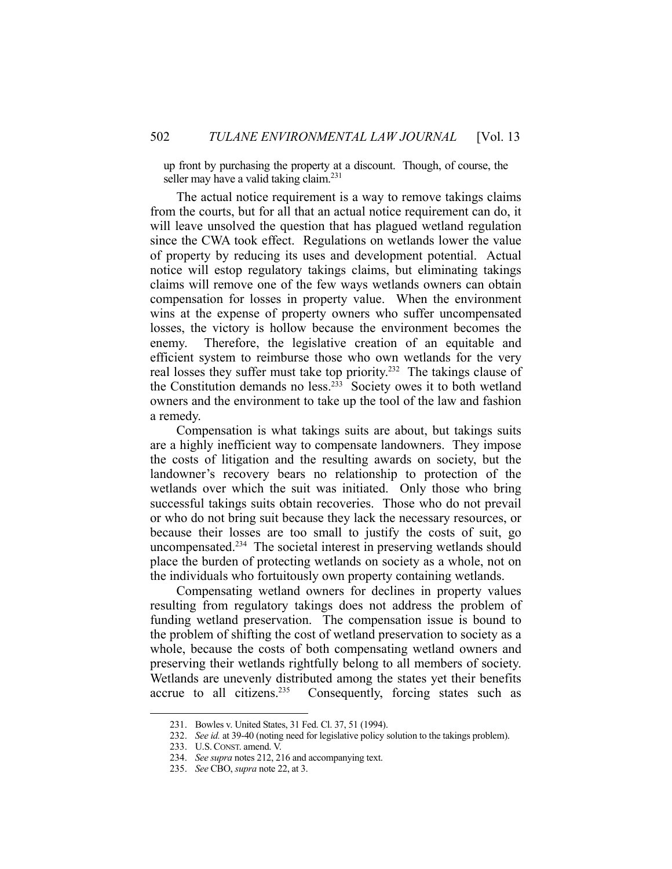up front by purchasing the property at a discount. Though, of course, the seller may have a valid taking claim.<sup>231</sup>

 The actual notice requirement is a way to remove takings claims from the courts, but for all that an actual notice requirement can do, it will leave unsolved the question that has plagued wetland regulation since the CWA took effect. Regulations on wetlands lower the value of property by reducing its uses and development potential. Actual notice will estop regulatory takings claims, but eliminating takings claims will remove one of the few ways wetlands owners can obtain compensation for losses in property value. When the environment wins at the expense of property owners who suffer uncompensated losses, the victory is hollow because the environment becomes the enemy. Therefore, the legislative creation of an equitable and efficient system to reimburse those who own wetlands for the very real losses they suffer must take top priority.<sup>232</sup> The takings clause of the Constitution demands no less.233 Society owes it to both wetland owners and the environment to take up the tool of the law and fashion a remedy.

 Compensation is what takings suits are about, but takings suits are a highly inefficient way to compensate landowners. They impose the costs of litigation and the resulting awards on society, but the landowner's recovery bears no relationship to protection of the wetlands over which the suit was initiated. Only those who bring successful takings suits obtain recoveries. Those who do not prevail or who do not bring suit because they lack the necessary resources, or because their losses are too small to justify the costs of suit, go uncompensated.<sup>234</sup> The societal interest in preserving wetlands should place the burden of protecting wetlands on society as a whole, not on the individuals who fortuitously own property containing wetlands.

 Compensating wetland owners for declines in property values resulting from regulatory takings does not address the problem of funding wetland preservation. The compensation issue is bound to the problem of shifting the cost of wetland preservation to society as a whole, because the costs of both compensating wetland owners and preserving their wetlands rightfully belong to all members of society. Wetlands are unevenly distributed among the states yet their benefits accrue to all citizens.<sup>235</sup> Consequently, forcing states such as

 <sup>231.</sup> Bowles v. United States, 31 Fed. Cl. 37, 51 (1994).

 <sup>232.</sup> *See id.* at 39-40 (noting need for legislative policy solution to the takings problem).

 <sup>233.</sup> U.S.CONST. amend. V.

 <sup>234.</sup> *See supra* notes 212, 216 and accompanying text.

 <sup>235.</sup> *See* CBO, *supra* note 22, at 3.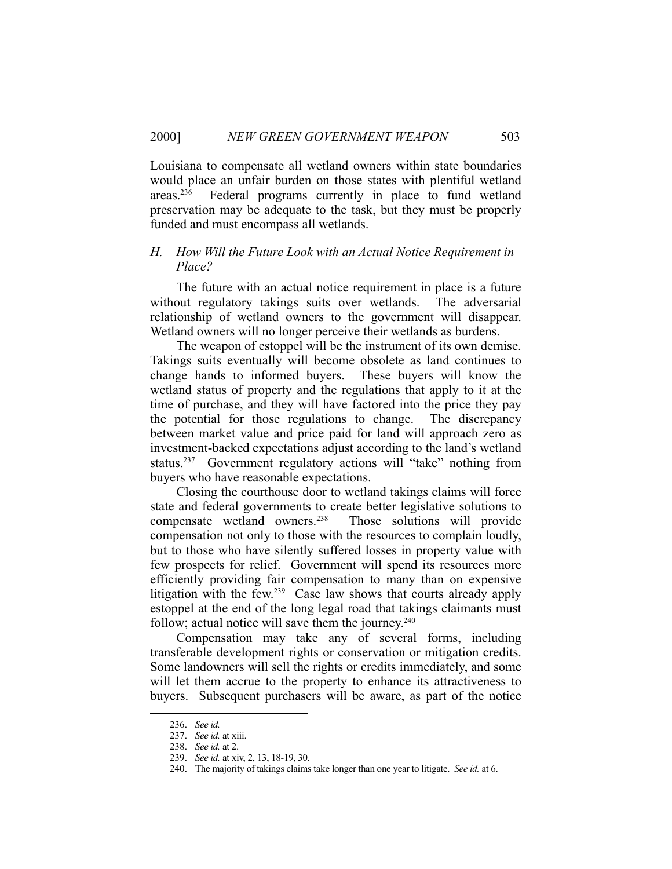Louisiana to compensate all wetland owners within state boundaries would place an unfair burden on those states with plentiful wetland areas.236 Federal programs currently in place to fund wetland preservation may be adequate to the task, but they must be properly funded and must encompass all wetlands.

# *H. How Will the Future Look with an Actual Notice Requirement in Place?*

 The future with an actual notice requirement in place is a future without regulatory takings suits over wetlands. The adversarial relationship of wetland owners to the government will disappear. Wetland owners will no longer perceive their wetlands as burdens.

 The weapon of estoppel will be the instrument of its own demise. Takings suits eventually will become obsolete as land continues to change hands to informed buyers. These buyers will know the wetland status of property and the regulations that apply to it at the time of purchase, and they will have factored into the price they pay the potential for those regulations to change. The discrepancy between market value and price paid for land will approach zero as investment-backed expectations adjust according to the land's wetland status.<sup>237</sup> Government regulatory actions will "take" nothing from buyers who have reasonable expectations.

 Closing the courthouse door to wetland takings claims will force state and federal governments to create better legislative solutions to compensate wetland owners.238 Those solutions will provide compensation not only to those with the resources to complain loudly, but to those who have silently suffered losses in property value with few prospects for relief. Government will spend its resources more efficiently providing fair compensation to many than on expensive litigation with the few.<sup>239</sup> Case law shows that courts already apply estoppel at the end of the long legal road that takings claimants must follow; actual notice will save them the journey. $240$ 

 Compensation may take any of several forms, including transferable development rights or conservation or mitigation credits. Some landowners will sell the rights or credits immediately, and some will let them accrue to the property to enhance its attractiveness to buyers. Subsequent purchasers will be aware, as part of the notice

 <sup>236.</sup> *See id.*

 <sup>237.</sup> *See id.* at xiii.

 <sup>238.</sup> *See id.* at 2.

 <sup>239.</sup> *See id.* at xiv, 2, 13, 18-19, 30.

 <sup>240.</sup> The majority of takings claims take longer than one year to litigate. *See id.* at 6.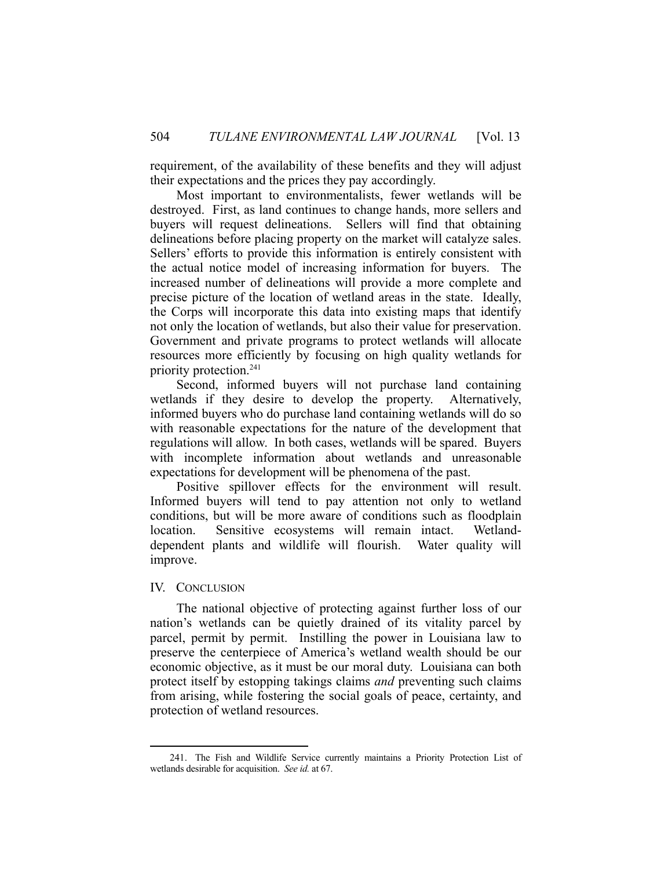requirement, of the availability of these benefits and they will adjust their expectations and the prices they pay accordingly.

 Most important to environmentalists, fewer wetlands will be destroyed. First, as land continues to change hands, more sellers and buyers will request delineations. Sellers will find that obtaining delineations before placing property on the market will catalyze sales. Sellers' efforts to provide this information is entirely consistent with the actual notice model of increasing information for buyers. The increased number of delineations will provide a more complete and precise picture of the location of wetland areas in the state. Ideally, the Corps will incorporate this data into existing maps that identify not only the location of wetlands, but also their value for preservation. Government and private programs to protect wetlands will allocate resources more efficiently by focusing on high quality wetlands for priority protection.241

 Second, informed buyers will not purchase land containing wetlands if they desire to develop the property. Alternatively, informed buyers who do purchase land containing wetlands will do so with reasonable expectations for the nature of the development that regulations will allow. In both cases, wetlands will be spared. Buyers with incomplete information about wetlands and unreasonable expectations for development will be phenomena of the past.

 Positive spillover effects for the environment will result. Informed buyers will tend to pay attention not only to wetland conditions, but will be more aware of conditions such as floodplain location. Sensitive ecosystems will remain intact. Wetlanddependent plants and wildlife will flourish. Water quality will improve.

#### IV. CONCLUSION

1

 The national objective of protecting against further loss of our nation's wetlands can be quietly drained of its vitality parcel by parcel, permit by permit. Instilling the power in Louisiana law to preserve the centerpiece of America's wetland wealth should be our economic objective, as it must be our moral duty. Louisiana can both protect itself by estopping takings claims *and* preventing such claims from arising, while fostering the social goals of peace, certainty, and protection of wetland resources.

 <sup>241.</sup> The Fish and Wildlife Service currently maintains a Priority Protection List of wetlands desirable for acquisition. *See id.* at 67.